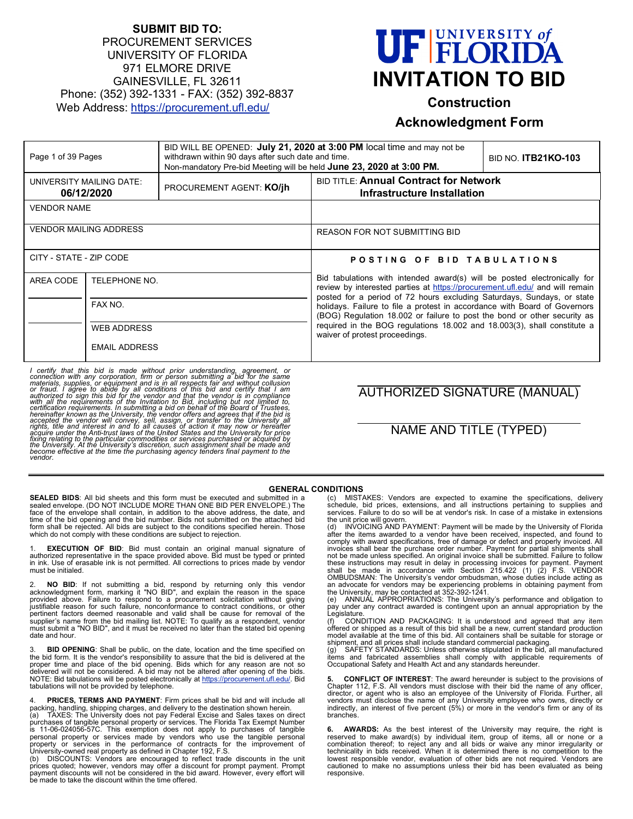# **SUBMIT BID TO:** PROCUREMENT SERVICES UNIVERSITY OF FLORIDA 971 ELMORE DRIVE GAINESVILLE, FL 32611 Phone: (352) 392-1331 - FAX: (352) 392-8837 Web Address:<https://procurement.ufl.edu/>

# **UF FLORIDA INVITATION TO BID**

# **Construction**

# **Acknowledgment Form**

| withdrawn within 90 days after such date and time.<br>Page 1 of 39 Pages<br>Non-mandatory Pre-bid Meeting will be held June 23, 2020 at 3:00 PM. |                               |                                                                                                                                                          | BID WILL BE OPENED: July 21, 2020 at 3:00 PM local time and may not be                                                                                                                                                                                                                                                                        | <b>BID NO. ITB21KO-103</b> |  |
|--------------------------------------------------------------------------------------------------------------------------------------------------|-------------------------------|----------------------------------------------------------------------------------------------------------------------------------------------------------|-----------------------------------------------------------------------------------------------------------------------------------------------------------------------------------------------------------------------------------------------------------------------------------------------------------------------------------------------|----------------------------|--|
| UNIVERSITY MAILING DATE:                                                                                                                         | 06/12/2020                    | <b>PROCUREMENT AGENT: KO/jh</b>                                                                                                                          | <b>BID TITLE: Annual Contract for Network</b><br>Infrastructure Installation                                                                                                                                                                                                                                                                  |                            |  |
| <b>VENDOR NAME</b>                                                                                                                               |                               |                                                                                                                                                          |                                                                                                                                                                                                                                                                                                                                               |                            |  |
| <b>VENDOR MAILING ADDRESS</b>                                                                                                                    |                               |                                                                                                                                                          | REASON FOR NOT SUBMITTING BID                                                                                                                                                                                                                                                                                                                 |                            |  |
| CITY - STATE - ZIP CODE                                                                                                                          |                               |                                                                                                                                                          | POSTING OF BID TABULATIONS                                                                                                                                                                                                                                                                                                                    |                            |  |
| AREA CODE<br>TELEPHONE NO.                                                                                                                       |                               | Bid tabulations with intended award(s) will be posted electronically for<br>review by interested parties at https://procurement.ufl.edu/ and will remain |                                                                                                                                                                                                                                                                                                                                               |                            |  |
|                                                                                                                                                  | FAX NO.<br><b>WEB ADDRESS</b> |                                                                                                                                                          | posted for a period of 72 hours excluding Saturdays, Sundays, or state<br>holidays. Failure to file a protest in accordance with Board of Governors<br>(BOG) Regulation 18.002 or failure to post the bond or other security as<br>required in the BOG regulations 18.002 and 18.003(3), shall constitute a<br>waiver of protest proceedings. |                            |  |
|                                                                                                                                                  |                               |                                                                                                                                                          |                                                                                                                                                                                                                                                                                                                                               |                            |  |
| <b>EMAIL ADDRESS</b>                                                                                                                             |                               |                                                                                                                                                          |                                                                                                                                                                                                                                                                                                                                               |                            |  |

I certify that this bid is made without prior understanding, agreement, or connection with any corporation, firm or person submitting a bid for the same materials, supplies, or equipment and is in all respects fair and wit *accepted the vendor will convey, sell, assign, or transfer to the University all rights, title and interest in and to all causes of action it may now or hereafter*  acquire under the Anti-trust laws of the United States and the University for price<br>fixing relating to the particular commodities or services purchased or acquired by<br>the University. At the University's discretion, such as

# AUTHORIZED SIGNATURE (MANUAL)

# NAME AND TITLE (TYPED)

#### **GENERAL CONDITIONS**

**SEALED BIDS:** All bid sheets and this form must be executed and submitted in a sealed envelope. (DO NOT INCLUDE MORE THAN ONE BID PER ENVELOPE.) The face of the envelope shall contain, in addition to the above address, the date, and<br>time of the bid opening and the bid number. Bids not submitted on the attached bid<br>form shall be rejected. All bids are subject to the con which do not comply with these conditions are subject to rejection.

**EXECUTION OF BID:** Bid must contain an original manual signature of authorized representative in the space provided above. Bid must be typed or printed in ink. Use of erasable ink is not permitted. All corrections to prices made by vendor must be initialed.

2. **NO BID**: If not submitting a bid, respond by returning only this vendor acknowledgment form, marking it "NO BID", and explain the reason in the space provided above. Failure to respond to a procurement solicitation without giving justifiable reason for such failure, nonconformance to contract conditions, or other pertinent factors deemed reasonable and valid shall be cause for removal of the<br>supplier's name from the bid mailing list. NOTE: To qualify as a respondent, vendor<br>must submit a "NO BID", and it must be received no later t date and hour.

**BID OPENING**: Shall be public, on the date, location and the time specified on the bid form. It is the vendor's responsibility to assure that the bid is delivered at the<br>proper time and place of the bid opening. Bids which for any reason are not so<br>delivered will not be considered. A bid may not be a NOTE: Bid tabulations will be posted electronically at <u>https://procurement.ufl.edu/</u>. Bid<br>tabulations will not be provided by telephone.

4. **PRICES, TERMS AND PAYMENT**: Firm prices shall be bid and will include all<br>packing, handling, shipping charges, and delivery to the destination shown herein.<br>(a) TAXES: The University does not pay Federal Excise and S

purchases of tangible personal property or services. The Florida Tax Exempt Number<br>is 11-06-024056-57C. This exemption does not apply to purchases of tangible<br>personal property or services made by vendors property or services in the performance of contracts for the improvement of University-owned real property as defined in Chapter 192, F.S. (b) DISCOUNTS: Vendors are encouraged to reflect trade discounts in the unit

prices quoted; however, vendors may offer a discount for prompt payment. Prompt<br>payment discounts will not be considered in the bid award. However, every effort will<br>be made to take the discount within the time offered.

(c) MISTAKES: Vendors are expected to examine the specifications, delivery schedule, bid prices, extensions, and all instructions pertaining to supplies and services. Failure to do so will be at vendor's risk. In case of a mistake in extensions

the unit price will govern.<br>(d) INVOICING AND PAYMENT: Payment will be made by the University of Florida<br>after the items awarded to a vendor have been received, inspected, and found to<br>comply with award specifications, fre not be made unless specified. An original invoice shall be submitted. Failure to follow<br>these instructions may result in delay in processing invoices for payment. Payment<br>shall be made in accordance with Section 215.422 (1

Legislature. (f) CONDITION AND PACKAGING: It is understood and agreed that any item offered or shipped as a result of this bid shall be a new, current standard production model available at the time of this bid. All containers shall be suitable for storage or shipment, and all prices shall include standard commercial packaging. (g) SAFETY STANDARDS: Unless otherwise stipulated in the bid, all manufactured

items and fabricated assemblies shall comply with applicable requirements of Occupational Safety and Health Act and any standards hereunder.

**5. CONFLICT OF INTEREST**: The award hereunder is subject to the provisions of<br>Chapter 112, F.S. All vendors must disclose with their bid the name of any officer, director, or agent who is also an employee of the University of Florida. Further, all vendors must disclose the name of any University employee who owns, directly or indirectly, an interest of five percent (5%) or more in the vendor's firm or any of its branches.

**6. AWARDS:** As the best interest of the University may require, the right is reserved to make award(s) by individual item, group of items, all or none or a combination thereof; to reject any and all bids or waive any minor irregularity or technicality in bids received. When it is determined there is no competition to the lowest responsible vendor, evaluation of other bids are not required. Vendors are cautioned to make no assumptions unless their bid has been evaluated as being responsive.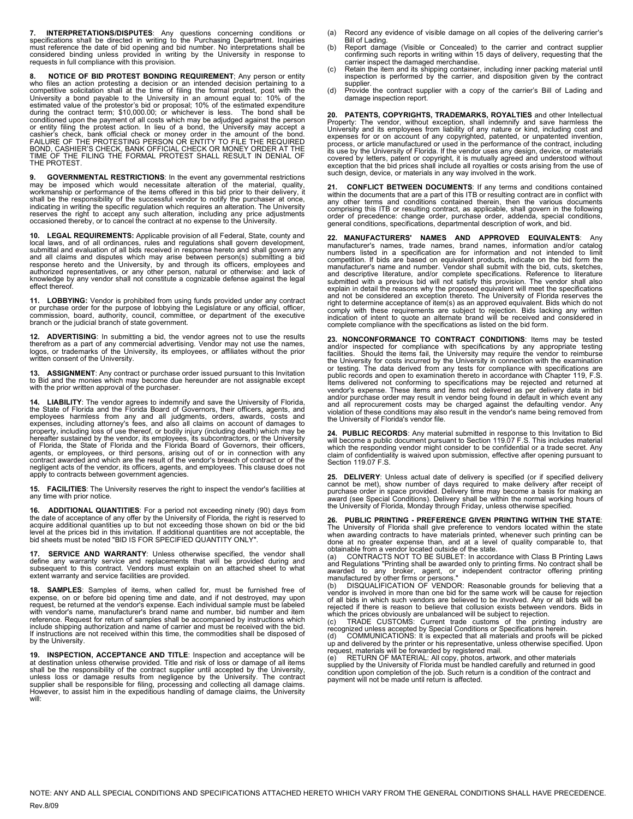7. **INTERPRETATIONS/DISPUTES:** Any questions concerning conditions or specifications shall be directed in writing to the Purchasing Department. Inquiries must reference the date of bid opening and bid number. No interpreta

**8. NOTICE OF BID PROTEST BONDING REQUIREMENT**; Any person or entity who files an action protesting a decision or an intended decision pertaining to a competitive solicitation shall at the time of filing the formal protest, post with the University a bond payable to the University in an am conditioned upon the payment of all costs which may be adjudged against the person or entity filing the protest action. In lieu of a bond, the University may accept a<br>cashier's check, bank official check or money order in the amount of the bond.<br>FAILURE OF THE PROTESTING PERSON OR ENTITY TO FILE THE REQU THE PROTEST.

**9. GOVERNMENTAL RESTRICTIONS**: In the event any governmental restrictions may be imposed which would necessitate alteration of the material, quality,<br>workmanship or performance of the items offered in this bid prior to their delivery, it<br>shall be the responsibility of the successful vendor to no indicating in writing the specific regulation which requires an alteration. The University<br>reserves the right to accept any such alteration, including any price adjustments<br>occasioned thereby, or to cancel the contract at

**10. LEGAL REQUIREMENTS:** Applicable provision of all Federal, State, county and local laws, and of all ordinances, rules and regulations shall govern development, submittal and evaluation of all bids received in response hereto and shall govern any and all claims and disputes which may arise between person(s) submitting a bid response hereto and the University, by and through its officers, employees and authorized representatives, or any other person, natural or otherwise: and lack of knowledge by any vendor shall not constitute a cognizable defense against the legal effect thereof.

**11. LOBBYING:** Vendor is prohibited from using funds provided under any contract or purchase order for the purpose of lobbying the Legislature or any official, officer, commission, board, authority, council, committee, or department of the executive branch or the judicial branch of state government.

**12. ADVERTISING**: In submitting a bid, the vendor agrees not to use the results<br>therefrom as a part of any commercial advertising. Vendor may not use the names,<br>logos, or trademarks of the University, its employees, or written consent of the University.

**13. ASSIGNMENT**: Any contract or purchase order issued pursuant to this Invitation to Bid and the monies which may become due hereunder are not assignable except with the prior written approval of the purchaser.

**14. LIABILITY**: The vendor agrees to indemnify and save the University of Florida, the State of Florida and the Florida Board of Governors, their officers, agents, and employees harmless from any and all judgments, orders, awards, costs and expenses, including attorney's fees, and also all claims on account of damages to property, including loss of use thereof, or bodily injury (including death) which may be<br>hereafter sustained by the vendor, its employees, its subcontractors, or the University<br>of Florida, the State of Florida and the Flor

**15. FACILITIES**: The University reserves the right to inspect the vendor's facilities at any time with prior notice.

**16. ADDITIONAL QUANTITIES:** For a period not exceeding ninety (90) days from<br>the date of acceptance of any offer by the University of Florida, the right is reserved to<br>acquire additional quantities up to but not exceeding

**SERVICE AND WARRANTY:** Unless otherwise specified, the vendor shall define any warranty service and replacements that will be provided during and subsequent to this contract. Vendors must explain on an attached sheet to what extent warranty and service facilities are provided.

**18. SAMPLES**: Samples of items, when called for, must be furnished free of expense, on or before bid opening time and date, and if not destroyed, may upon<br>request, be returned at the vendor's expense. Each individual sample must be labeled<br>with vendor's name, manufacturer's brand name and number, reference. Request for return of samples shall be accompanied by instructions which include shipping authorization and name of carrier and must be received with the bid. If instructions are not received within this time, the commodities shall be disposed of by the University.

**19. INSPECTION, ACCEPTANCE AND TITLE**: Inspection and acceptance will be at destination unless otherwise provided. Title and risk of loss or damage of all items<br>shall be the responsibility of the contract supplier until accepted by the University,<br>unless loss or damage results from negligence b will:

- (a) Record any evidence of visible damage on all copies of the delivering carrier's Bill of Lading.
- (b) Report damage (Visible or Concealed) to the carrier and contract supplier confirming such reports in writing within 15 days of delivery, requesting that the
- carrier inspect the damaged merchandise.<br>(c) Retain the item and its shipping container, including inner packing material until<br>inspection is performed by the carrier, and disposition given by the contract
- supplier. (d) Provide the contract supplier with a copy of the carrier's Bill of Lading and damage inspection report.

**20. PATENTS, COPYRIGHTS, TRADEMARKS, ROYALTIES** and other Intellectual<br>Property: The vendor, without exception, shall indemnify and save harmless the<br>University and its employees from liability of any nature or kind, incl expenses for or on account of any copyrighted, patented, or unpatented invention,<br>process, or article manufactured or used in the performance of the contract, including<br>its use by the University of Florida. If the vendor u covered by letters, patent or copyright, it is mutually agreed and understood without<br>exception that the bid prices shall include all royalties or costs arising from the use of<br>such design, device, or materials in any way

**21. CONFLICT BETWEEN DOCUMENTS**: If any terms and conditions contained<br>within the documents that are a part of this ITB or resulting contract are in conflict with<br>any other terms and conditions contained therein, then the comprising this ITB or resulting contract, as applicable, shall govern in the following order of precedence: change order, purchase order, addenda, special conditions, general conditions, specifications, departmental description of work, and bid.

**22. MANUFACTURERS' NAMES AND APPROVED EQUIVALENTS**: Any manufacturer's names, trade names, brand names, information and/or catalog<br>numbers listed in a specification are for information and not intended to limit<br>competition. If bids are based on equivalent products, indicate on and descriptive literature, and/or complete specifications. Reference to literature submitted with a previous bid will not satisfy this provision. The vendor shall also explain in detail the reasons why the proposed equivalent will meet the specifications<br>and not be considered an exception thereto. The University of Florida reserves the<br>right to determine acceptance of item(s) as an appro comply with these requirements are subject to rejection. Bids lacking any written<br>indication of intent to quote an alternate brand will be received and considered in<br>complete compliance with the specifications as listed on

**23. NONCONFORMANCE TO CONTRACT CONDITIONS**: Items may be tested and/or inspected for compliance with specifications by any appropriate testing<br>facilities. Should the items fail, the University may require the vendor to reimburse<br>the University for costs incurred by the University in co public records and open to examination thereto in accordance with Chapter 119, F.S.<br>Items delivered not conforming to specifications may be rejected and returned at<br>vendor's expense. These items and items not delivered as the University of Florida's vendor file.

**24. PUBLIC RECORDS**: Any material submitted in response to this Invitation to Bid will become a public document pursuant to Section 119.07 F.S. This includes material which the responding vendor might consider to be confidential or a trade secret. Any claim of confidentiality is waived upon submission, effective after opening pursuant to Section 119.07 F.S.

**25. DELIVERY**: Unless actual date of delivery is specified (or if specified delivery cannot be met), show number of days required to make delivery after receipt of purchase order in space provided. Delivery time may become a basis for making an award (see Special Conditions). Delivery shall be within the normal working hours of the University of Florida, Monday through Friday, unless otherwise specified.

**26. PUBLIC PRINTING - PREFERENCE GIVEN PRINTING WITHIN THE STATE**: The University of Florida shall give preference to vendors located within the state<br>when awarding contracts to have materials printed, whenever such printing can be<br>done at no greater expense than, and at a level of qualit

of all bids in which such vendors are believed to be involved. Any or all bids rejected if there is reason to believe that collusion exists between vendors. Bids in which the prices obviously are unbalanced will be subject to rejection.

(c) TRADE CUSTOMS: Current trade customs of the printing industry are recognized unless accepted by Special Conditions or Specifications herein.<br>(d) COMMUNICATIONS: It is expected that all materials and proofs will be pick

supplied by the University of Florida must be handled carefully and returned in good condition upon completion of the job. Such return is a condition of the contract and payment will not be made until return is affected.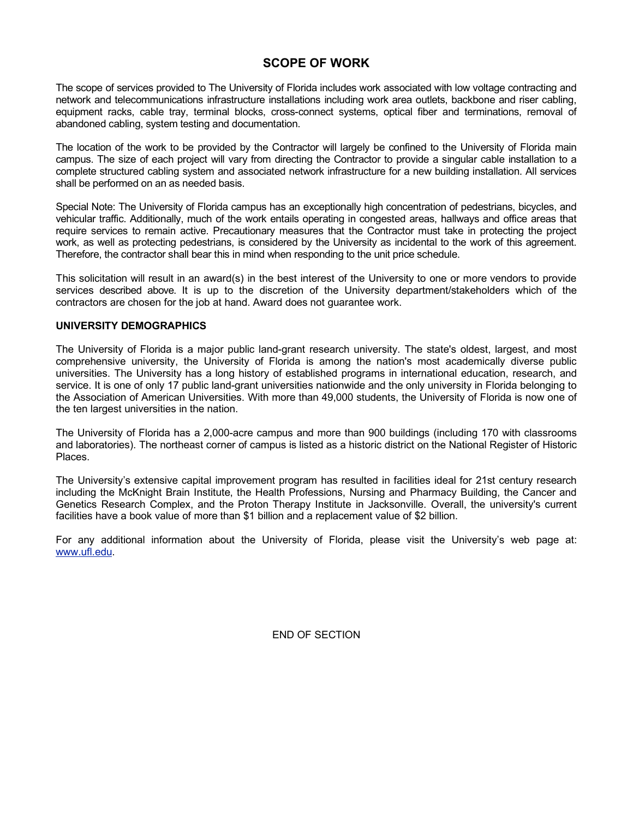# **SCOPE OF WORK**

The scope of services provided to The University of Florida includes work associated with low voltage contracting and network and telecommunications infrastructure installations including work area outlets, backbone and riser cabling, equipment racks, cable tray, terminal blocks, cross-connect systems, optical fiber and terminations, removal of abandoned cabling, system testing and documentation.

The location of the work to be provided by the Contractor will largely be confined to the University of Florida main campus. The size of each project will vary from directing the Contractor to provide a singular cable installation to a complete structured cabling system and associated network infrastructure for a new building installation. All services shall be performed on an as needed basis.

Special Note: The University of Florida campus has an exceptionally high concentration of pedestrians, bicycles, and vehicular traffic. Additionally, much of the work entails operating in congested areas, hallways and office areas that require services to remain active. Precautionary measures that the Contractor must take in protecting the project work, as well as protecting pedestrians, is considered by the University as incidental to the work of this agreement. Therefore, the contractor shall bear this in mind when responding to the unit price schedule.

This solicitation will result in an award(s) in the best interest of the University to one or more vendors to provide services described above. It is up to the discretion of the University department/stakeholders which of the contractors are chosen for the job at hand. Award does not guarantee work.

# **UNIVERSITY DEMOGRAPHICS**

The University of Florida is a major public land-grant research university. The state's oldest, largest, and most comprehensive university, the University of Florida is among the nation's most academically diverse public universities. The University has a long history of established programs in international education, research, and service. It is one of only 17 public land-grant universities nationwide and the only university in Florida belonging to the Association of American Universities. With more than 49,000 students, the University of Florida is now one of the ten largest universities in the nation.

The University of Florida has a 2,000-acre campus and more than 900 buildings (including 170 with classrooms and laboratories). The northeast corner of campus is listed as a historic district on the National Register of Historic Places.

The University's extensive capital improvement program has resulted in facilities ideal for 21st century research including the McKnight Brain Institute, the Health Professions, Nursing and Pharmacy Building, the Cancer and Genetics Research Complex, and the Proton Therapy Institute in Jacksonville. Overall, the university's current facilities have a book value of more than \$1 billion and a replacement value of \$2 billion.

For any additional information about the University of Florida, please visit the University's web page at: [www.ufl.edu.](http://www.ufl.edu/)

END OF SECTION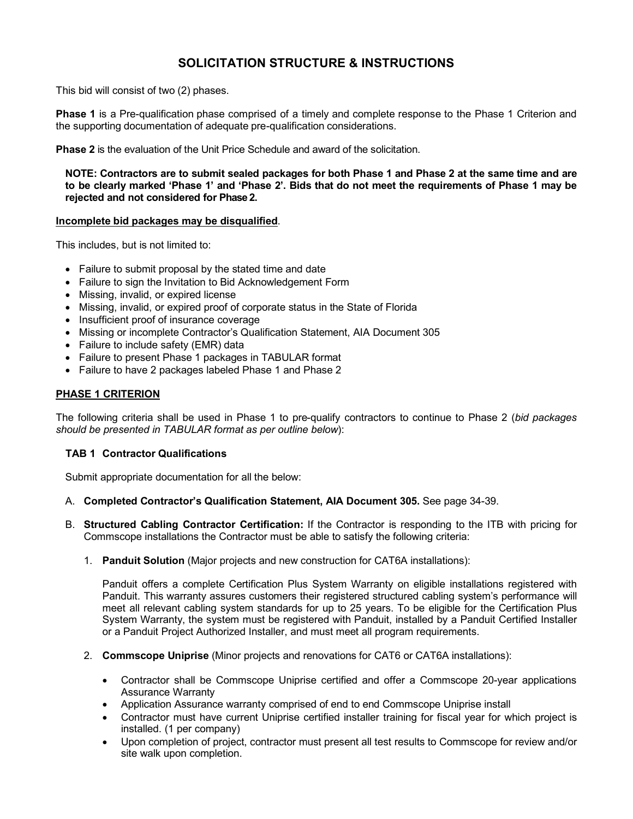# **SOLICITATION STRUCTURE & INSTRUCTIONS**

This bid will consist of two (2) phases.

**Phase 1** is a Pre-qualification phase comprised of a timely and complete response to the Phase 1 Criterion and the supporting documentation of adequate pre-qualification considerations.

**Phase 2** is the evaluation of the Unit Price Schedule and award of the solicitation.

**NOTE: Contractors are to submit sealed packages for both Phase 1 and Phase 2 at the same time and are to be clearly marked 'Phase 1' and 'Phase 2'. Bids that do not meet the requirements of Phase 1 may be rejected and not considered for Phase 2.**

# **Incomplete bid packages may be disqualified**.

This includes, but is not limited to:

- Failure to submit proposal by the stated time and date
- Failure to sign the Invitation to Bid Acknowledgement Form
- Missing, invalid, or expired license
- Missing, invalid, or expired proof of corporate status in the State of Florida
- Insufficient proof of insurance coverage
- Missing or incomplete Contractor's Qualification Statement, AIA Document 305
- Failure to include safety (EMR) data
- Failure to present Phase 1 packages in TABULAR format
- Failure to have 2 packages labeled Phase 1 and Phase 2

# **PHASE 1 CRITERION**

The following criteria shall be used in Phase 1 to pre-qualify contractors to continue to Phase 2 (*bid packages should be presented in TABULAR format as per outline below*):

# **TAB 1 Contractor Qualifications**

Submit appropriate documentation for all the below:

- A. **Completed Contractor's Qualification Statement, AIA Document 305.** See page 34-39.
- B. **Structured Cabling Contractor Certification:** If the Contractor is responding to the ITB with pricing for Commscope installations the Contractor must be able to satisfy the following criteria:
	- 1. **Panduit Solution** (Major projects and new construction for CAT6A installations):

Panduit offers a complete Certification Plus System Warranty on eligible installations registered with Panduit. This warranty assures customers their registered structured cabling system's performance will meet all relevant cabling system standards for up to 25 years. To be eligible for the Certification Plus System Warranty, the system must be registered with Panduit, installed by a Panduit Certified Installer or a Panduit Project Authorized Installer, and must meet all program requirements.

- 2. **Commscope Uniprise** (Minor projects and renovations for CAT6 or CAT6A installations):
	- Contractor shall be Commscope Uniprise certified and offer a Commscope 20-year applications Assurance Warranty
	- Application Assurance warranty comprised of end to end Commscope Uniprise install
	- Contractor must have current Uniprise certified installer training for fiscal year for which project is installed. (1 per company)
	- Upon completion of project, contractor must present all test results to Commscope for review and/or site walk upon completion.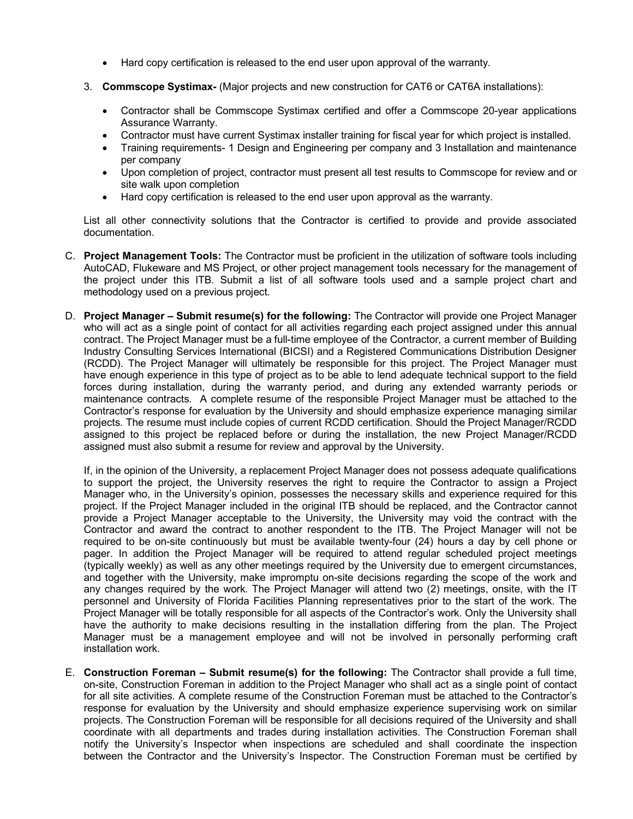- Hard copy certification is released to the end user upon approval of the warranty.
- 3. **Commscope Systimax-** (Major projects and new construction for CAT6 or CAT6A installations):
	- Contractor shall be Commscope Systimax certified and offer a Commscope 20-year applications Assurance Warranty.
	- Contractor must have current Systimax installer training for fiscal year for which project is installed.
	- Training requirements- 1 Design and Engineering per company and 3 Installation and maintenance per company
	- Upon completion of project, contractor must present all test results to Commscope for review and or site walk upon completion
	- Hard copy certification is released to the end user upon approval as the warranty.

List all other connectivity solutions that the Contractor is certified to provide and provide associated documentation.

- C. **Project Management Tools:** The Contractor must be proficient in the utilization of software tools including AutoCAD, Flukeware and MS Project, or other project management tools necessary for the management of the project under this ITB. Submit a list of all software tools used and a sample project chart and methodology used on a previous project.
- D. **Project Manager – Submit resume(s) for the following:** The Contractor will provide one Project Manager who will act as a single point of contact for all activities regarding each project assigned under this annual contract. The Project Manager must be a full-time employee of the Contractor, a current member of Building Industry Consulting Services International (BICSI) and a Registered Communications Distribution Designer (RCDD). The Project Manager will ultimately be responsible for this project. The Project Manager must have enough experience in this type of project as to be able to lend adequate technical support to the field forces during installation, during the warranty period, and during any extended warranty periods or maintenance contracts. A complete resume of the responsible Project Manager must be attached to the Contractor's response for evaluation by the University and should emphasize experience managing similar projects. The resume must include copies of current RCDD certification. Should the Project Manager/RCDD assigned to this project be replaced before or during the installation, the new Project Manager/RCDD assigned must also submit a resume for review and approval by the University.

If, in the opinion of the University, a replacement Project Manager does not possess adequate qualifications to support the project, the University reserves the right to require the Contractor to assign a Project Manager who, in the University's opinion, possesses the necessary skills and experience required for this project. If the Project Manager included in the original ITB should be replaced, and the Contractor cannot provide a Project Manager acceptable to the University, the University may void the contract with the Contractor and award the contract to another respondent to the ITB. The Project Manager will not be required to be on-site continuously but must be available twenty-four (24) hours a day by cell phone or pager. In addition the Project Manager will be required to attend regular scheduled project meetings (typically weekly) as well as any other meetings required by the University due to emergent circumstances, and together with the University, make impromptu on-site decisions regarding the scope of the work and any changes required by the work. The Project Manager will attend two (2) meetings, onsite, with the IT personnel and University of Florida Facilities Planning representatives prior to the start of the work. The Project Manager will be totally responsible for all aspects of the Contractor's work. Only the University shall have the authority to make decisions resulting in the installation differing from the plan. The Project Manager must be a management employee and will not be involved in personally performing craft installation work.

E. **Construction Foreman – Submit resume(s) for the following:** The Contractor shall provide a full time, on-site, Construction Foreman in addition to the Project Manager who shall act as a single point of contact for all site activities. A complete resume of the Construction Foreman must be attached to the Contractor's response for evaluation by the University and should emphasize experience supervising work on similar projects. The Construction Foreman will be responsible for all decisions required of the University and shall coordinate with all departments and trades during installation activities. The Construction Foreman shall notify the University's Inspector when inspections are scheduled and shall coordinate the inspection between the Contractor and the University's Inspector. The Construction Foreman must be certified by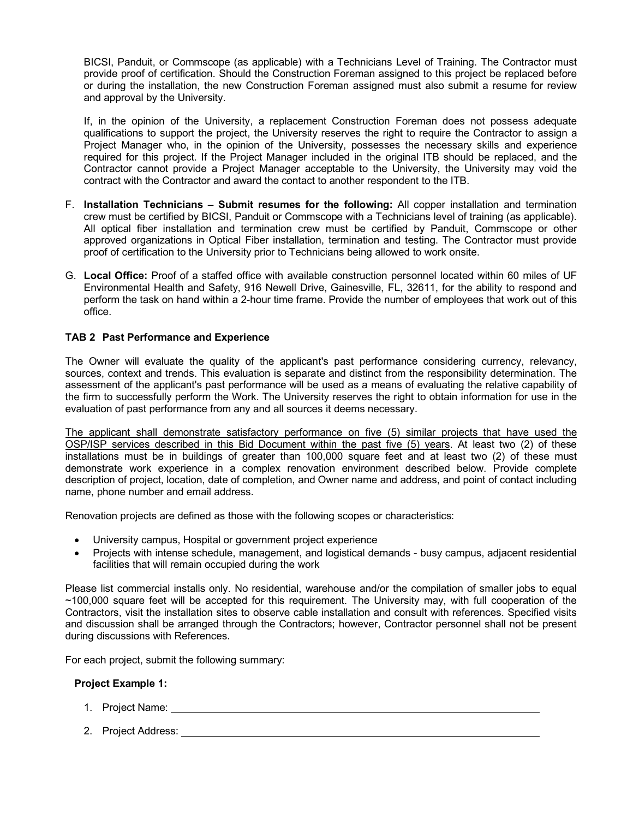BICSI, Panduit, or Commscope (as applicable) with a Technicians Level of Training. The Contractor must provide proof of certification. Should the Construction Foreman assigned to this project be replaced before or during the installation, the new Construction Foreman assigned must also submit a resume for review and approval by the University.

If, in the opinion of the University, a replacement Construction Foreman does not possess adequate qualifications to support the project, the University reserves the right to require the Contractor to assign a Project Manager who, in the opinion of the University, possesses the necessary skills and experience required for this project. If the Project Manager included in the original ITB should be replaced, and the Contractor cannot provide a Project Manager acceptable to the University, the University may void the contract with the Contractor and award the contact to another respondent to the ITB.

- F. **Installation Technicians – Submit resumes for the following:** All copper installation and termination crew must be certified by BICSI, Panduit or Commscope with a Technicians level of training (as applicable). All optical fiber installation and termination crew must be certified by Panduit, Commscope or other approved organizations in Optical Fiber installation, termination and testing. The Contractor must provide proof of certification to the University prior to Technicians being allowed to work onsite.
- G. **Local Office:** Proof of a staffed office with available construction personnel located within 60 miles of UF Environmental Health and Safety, 916 Newell Drive, Gainesville, FL, 32611, for the ability to respond and perform the task on hand within a 2-hour time frame. Provide the number of employees that work out of this office.

# **TAB 2 Past Performance and Experience**

The Owner will evaluate the quality of the applicant's past performance considering currency, relevancy, sources, context and trends. This evaluation is separate and distinct from the responsibility determination. The assessment of the applicant's past performance will be used as a means of evaluating the relative capability of the firm to successfully perform the Work. The University reserves the right to obtain information for use in the evaluation of past performance from any and all sources it deems necessary.

The applicant shall demonstrate satisfactory performance on five (5) similar projects that have used the OSP/ISP services described in this Bid Document within the past five (5) years. At least two (2) of these installations must be in buildings of greater than 100,000 square feet and at least two (2) of these must demonstrate work experience in a complex renovation environment described below. Provide complete description of project, location, date of completion, and Owner name and address, and point of contact including name, phone number and email address.

Renovation projects are defined as those with the following scopes or characteristics:

- University campus, Hospital or government project experience
- Projects with intense schedule, management, and logistical demands busy campus, adjacent residential facilities that will remain occupied during the work

Please list commercial installs only. No residential, warehouse and/or the compilation of smaller jobs to equal ~100,000 square feet will be accepted for this requirement. The University may, with full cooperation of the Contractors, visit the installation sites to observe cable installation and consult with references. Specified visits and discussion shall be arranged through the Contractors; however, Contractor personnel shall not be present during discussions with References.

For each project, submit the following summary:

# **Project Example 1:**

- 1. Project Name:
- 2. Project Address: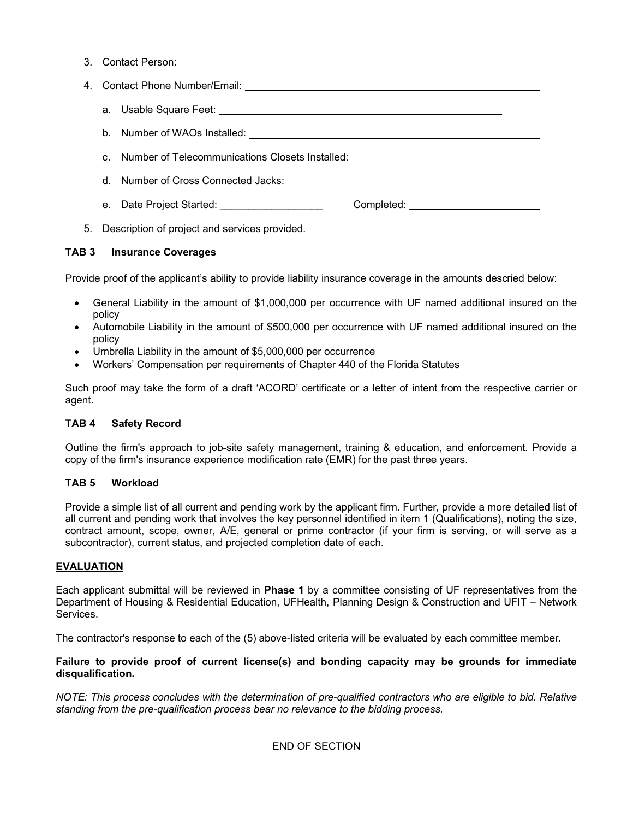|  | c. Number of Telecommunications Closets Installed: _____________________________ |  |
|--|----------------------------------------------------------------------------------|--|
|  |                                                                                  |  |
|  | e. Date Project Started: _____________________                                   |  |
|  |                                                                                  |  |

5. Description of project and services provided.

# **TAB 3 Insurance Coverages**

Provide proof of the applicant's ability to provide liability insurance coverage in the amounts descried below:

- General Liability in the amount of \$1,000,000 per occurrence with UF named additional insured on the policy
- Automobile Liability in the amount of \$500,000 per occurrence with UF named additional insured on the policy
- Umbrella Liability in the amount of \$5,000,000 per occurrence
- Workers' Compensation per requirements of Chapter 440 of the Florida Statutes

Such proof may take the form of a draft 'ACORD' certificate or a letter of intent from the respective carrier or agent.

# **TAB 4 Safety Record**

Outline the firm's approach to job-site safety management, training & education, and enforcement. Provide a copy of the firm's insurance experience modification rate (EMR) for the past three years.

# **TAB 5 Workload**

Provide a simple list of all current and pending work by the applicant firm. Further, provide a more detailed list of all current and pending work that involves the key personnel identified in item 1 (Qualifications), noting the size, contract amount, scope, owner, A/E, general or prime contractor (if your firm is serving, or will serve as a subcontractor), current status, and projected completion date of each.

# **EVALUATION**

Each applicant submittal will be reviewed in **Phase 1** by a committee consisting of UF representatives from the Department of Housing & Residential Education, UFHealth, Planning Design & Construction and UFIT – Network Services.

The contractor's response to each of the (5) above-listed criteria will be evaluated by each committee member.

# **Failure to provide proof of current license(s) and bonding capacity may be grounds for immediate disqualification.**

*NOTE: This process concludes with the determination of pre-qualified contractors who are eligible to bid. Relative standing from the pre-qualification process bear no relevance to the bidding process.*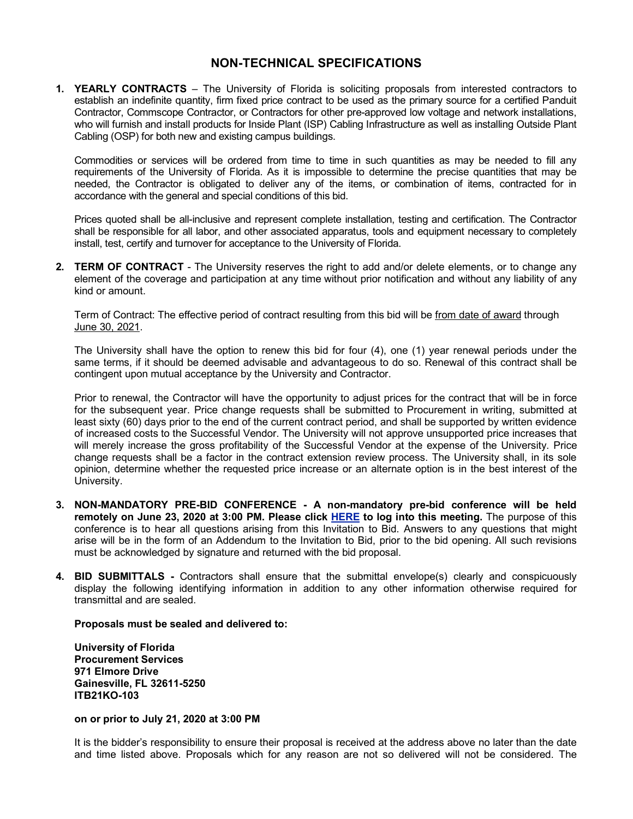# **NON-TECHNICAL SPECIFICATIONS**

**1. YEARLY CONTRACTS** – The University of Florida is soliciting proposals from interested contractors to establish an indefinite quantity, firm fixed price contract to be used as the primary source for a certified Panduit Contractor, Commscope Contractor, or Contractors for other pre-approved low voltage and network installations, who will furnish and install products for Inside Plant (ISP) Cabling Infrastructure as well as installing Outside Plant Cabling (OSP) for both new and existing campus buildings.

Commodities or services will be ordered from time to time in such quantities as may be needed to fill any requirements of the University of Florida. As it is impossible to determine the precise quantities that may be needed, the Contractor is obligated to deliver any of the items, or combination of items, contracted for in accordance with the general and special conditions of this bid.

Prices quoted shall be all-inclusive and represent complete installation, testing and certification. The Contractor shall be responsible for all labor, and other associated apparatus, tools and equipment necessary to completely install, test, certify and turnover for acceptance to the University of Florida.

**2. TERM OF CONTRACT** - The University reserves the right to add and/or delete elements, or to change any element of the coverage and participation at any time without prior notification and without any liability of any kind or amount.

Term of Contract: The effective period of contract resulting from this bid will be from date of award through June 30, 2021.

The University shall have the option to renew this bid for four (4), one (1) year renewal periods under the same terms, if it should be deemed advisable and advantageous to do so. Renewal of this contract shall be contingent upon mutual acceptance by the University and Contractor.

Prior to renewal, the Contractor will have the opportunity to adjust prices for the contract that will be in force for the subsequent year. Price change requests shall be submitted to Procurement in writing, submitted at least sixty (60) days prior to the end of the current contract period, and shall be supported by written evidence of increased costs to the Successful Vendor. The University will not approve unsupported price increases that will merely increase the gross profitability of the Successful Vendor at the expense of the University. Price change requests shall be a factor in the contract extension review process. The University shall, in its sole opinion, determine whether the requested price increase or an alternate option is in the best interest of the University.

- **3. NON-MANDATORY PRE-BID CONFERENCE - A non-mandatory pre-bid conference will be held remotely on June 23, 2020 at 3:00 PM. Please click [HERE](https://ufl.zoom.us/j/96597709839) to log into this meeting.** The purpose of this conference is to hear all questions arising from this Invitation to Bid. Answers to any questions that might arise will be in the form of an Addendum to the Invitation to Bid, prior to the bid opening. All such revisions must be acknowledged by signature and returned with the bid proposal.
- **4. BID SUBMITTALS -** Contractors shall ensure that the submittal envelope(s) clearly and conspicuously display the following identifying information in addition to any other information otherwise required for transmittal and are sealed.

# **Proposals must be sealed and delivered to:**

**University of Florida Procurement Services 971 Elmore Drive Gainesville, FL 32611-5250 ITB21KO-103**

#### **on or prior to July 21, 2020 at 3:00 PM**

It is the bidder's responsibility to ensure their proposal is received at the address above no later than the date and time listed above. Proposals which for any reason are not so delivered will not be considered. The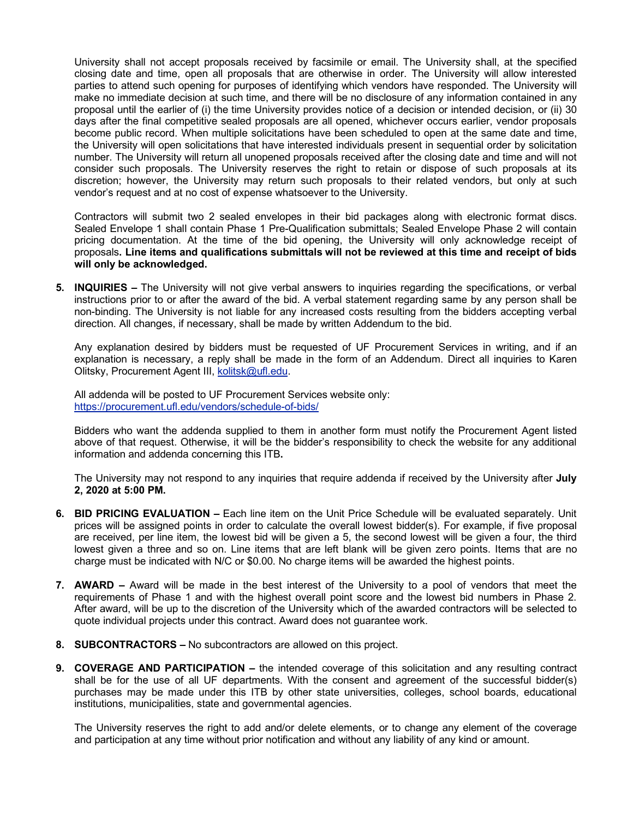University shall not accept proposals received by facsimile or email. The University shall, at the specified closing date and time, open all proposals that are otherwise in order. The University will allow interested parties to attend such opening for purposes of identifying which vendors have responded. The University will make no immediate decision at such time, and there will be no disclosure of any information contained in any proposal until the earlier of (i) the time University provides notice of a decision or intended decision, or (ii) 30 days after the final competitive sealed proposals are all opened, whichever occurs earlier, vendor proposals become public record. When multiple solicitations have been scheduled to open at the same date and time, the University will open solicitations that have interested individuals present in sequential order by solicitation number. The University will return all unopened proposals received after the closing date and time and will not consider such proposals. The University reserves the right to retain or dispose of such proposals at its discretion; however, the University may return such proposals to their related vendors, but only at such vendor's request and at no cost of expense whatsoever to the University.

Contractors will submit two 2 sealed envelopes in their bid packages along with electronic format discs. Sealed Envelope 1 shall contain Phase 1 Pre-Qualification submittals; Sealed Envelope Phase 2 will contain pricing documentation. At the time of the bid opening, the University will only acknowledge receipt of proposals**. Line items and qualifications submittals will not be reviewed at this time and receipt of bids will only be acknowledged.**

**5. INQUIRIES –** The University will not give verbal answers to inquiries regarding the specifications, or verbal instructions prior to or after the award of the bid. A verbal statement regarding same by any person shall be non-binding. The University is not liable for any increased costs resulting from the bidders accepting verbal direction. All changes, if necessary, shall be made by written Addendum to the bid.

Any explanation desired by bidders must be requested of UF Procurement Services in writing, and if an explanation is necessary, a reply shall be made in the form of an Addendum. Direct all inquiries to Karen Olitsky, Procurement Agent III, [kolitsk@ufl.edu.](mailto:kolitsk@ufl.edu)

All addenda will be posted to UF Procurement Services website only: <https://procurement.ufl.edu/vendors/schedule-of-bids/>

Bidders who want the addenda supplied to them in another form must notify the Procurement Agent listed above of that request. Otherwise, it will be the bidder's responsibility to check the website for any additional information and addenda concerning this ITB**.**

The University may not respond to any inquiries that require addenda if received by the University after **July 2, 2020 at 5:00 PM.**

- **6. BID PRICING EVALUATION –** Each line item on the Unit Price Schedule will be evaluated separately. Unit prices will be assigned points in order to calculate the overall lowest bidder(s). For example, if five proposal are received, per line item, the lowest bid will be given a 5, the second lowest will be given a four, the third lowest given a three and so on. Line items that are left blank will be given zero points. Items that are no charge must be indicated with N/C or \$0.00. No charge items will be awarded the highest points.
- **7. AWARD –** Award will be made in the best interest of the University to a pool of vendors that meet the requirements of Phase 1 and with the highest overall point score and the lowest bid numbers in Phase 2. After award, will be up to the discretion of the University which of the awarded contractors will be selected to quote individual projects under this contract. Award does not guarantee work.
- **8. SUBCONTRACTORS –** No subcontractors are allowed on this project.
- **9. COVERAGE AND PARTICIPATION –** the intended coverage of this solicitation and any resulting contract shall be for the use of all UF departments. With the consent and agreement of the successful bidder(s) purchases may be made under this ITB by other state universities, colleges, school boards, educational institutions, municipalities, state and governmental agencies.

The University reserves the right to add and/or delete elements, or to change any element of the coverage and participation at any time without prior notification and without any liability of any kind or amount.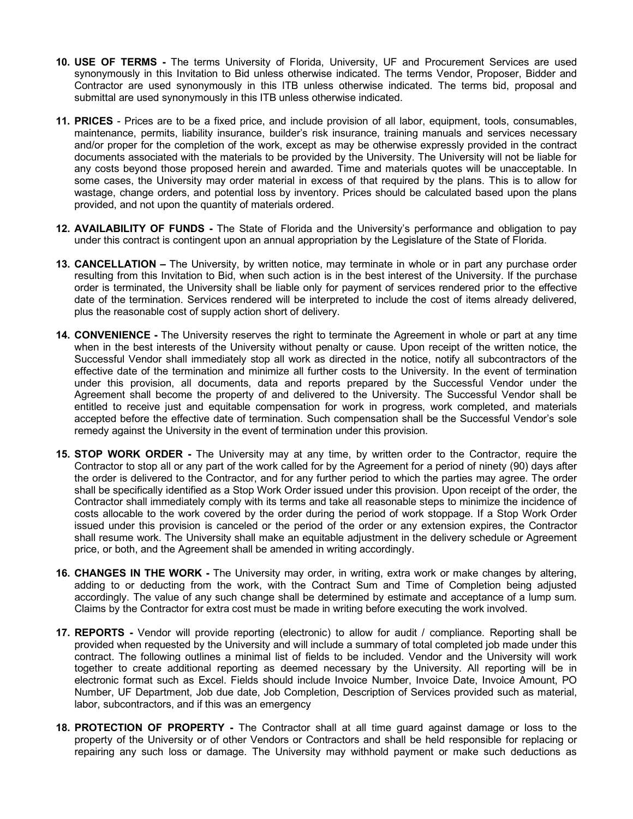- **10. USE OF TERMS -** The terms University of Florida, University, UF and Procurement Services are used synonymously in this Invitation to Bid unless otherwise indicated. The terms Vendor, Proposer, Bidder and Contractor are used synonymously in this ITB unless otherwise indicated. The terms bid, proposal and submittal are used synonymously in this ITB unless otherwise indicated.
- **11. PRICES** Prices are to be a fixed price, and include provision of all labor, equipment, tools, consumables, maintenance, permits, liability insurance, builder's risk insurance, training manuals and services necessary and/or proper for the completion of the work, except as may be otherwise expressly provided in the contract documents associated with the materials to be provided by the University. The University will not be liable for any costs beyond those proposed herein and awarded. Time and materials quotes will be unacceptable. In some cases, the University may order material in excess of that required by the plans. This is to allow for wastage, change orders, and potential loss by inventory. Prices should be calculated based upon the plans provided, and not upon the quantity of materials ordered.
- **12. AVAILABILITY OF FUNDS -** The State of Florida and the University's performance and obligation to pay under this contract is contingent upon an annual appropriation by the Legislature of the State of Florida.
- **13. CANCELLATION –** The University, by written notice, may terminate in whole or in part any purchase order resulting from this Invitation to Bid, when such action is in the best interest of the University. If the purchase order is terminated, the University shall be liable only for payment of services rendered prior to the effective date of the termination. Services rendered will be interpreted to include the cost of items already delivered, plus the reasonable cost of supply action short of delivery.
- **14. CONVENIENCE -** The University reserves the right to terminate the Agreement in whole or part at any time when in the best interests of the University without penalty or cause. Upon receipt of the written notice, the Successful Vendor shall immediately stop all work as directed in the notice, notify all subcontractors of the effective date of the termination and minimize all further costs to the University. In the event of termination under this provision, all documents, data and reports prepared by the Successful Vendor under the Agreement shall become the property of and delivered to the University. The Successful Vendor shall be entitled to receive just and equitable compensation for work in progress, work completed, and materials accepted before the effective date of termination. Such compensation shall be the Successful Vendor's sole remedy against the University in the event of termination under this provision.
- **15. STOP WORK ORDER -** The University may at any time, by written order to the Contractor, require the Contractor to stop all or any part of the work called for by the Agreement for a period of ninety (90) days after the order is delivered to the Contractor, and for any further period to which the parties may agree. The order shall be specifically identified as a Stop Work Order issued under this provision. Upon receipt of the order, the Contractor shall immediately comply with its terms and take all reasonable steps to minimize the incidence of costs allocable to the work covered by the order during the period of work stoppage. If a Stop Work Order issued under this provision is canceled or the period of the order or any extension expires, the Contractor shall resume work. The University shall make an equitable adjustment in the delivery schedule or Agreement price, or both, and the Agreement shall be amended in writing accordingly.
- **16. CHANGES IN THE WORK -** The University may order, in writing, extra work or make changes by altering, adding to or deducting from the work, with the Contract Sum and Time of Completion being adjusted accordingly. The value of any such change shall be determined by estimate and acceptance of a lump sum. Claims by the Contractor for extra cost must be made in writing before executing the work involved.
- **17. REPORTS -** Vendor will provide reporting (electronic) to allow for audit / compliance. Reporting shall be provided when requested by the University and will include a summary of total completed job made under this contract. The following outlines a minimal list of fields to be included. Vendor and the University will work together to create additional reporting as deemed necessary by the University. All reporting will be in electronic format such as Excel. Fields should include Invoice Number, Invoice Date, Invoice Amount, PO Number, UF Department, Job due date, Job Completion, Description of Services provided such as material, labor, subcontractors, and if this was an emergency
- **18. PROTECTION OF PROPERTY -** The Contractor shall at all time guard against damage or loss to the property of the University or of other Vendors or Contractors and shall be held responsible for replacing or repairing any such loss or damage. The University may withhold payment or make such deductions as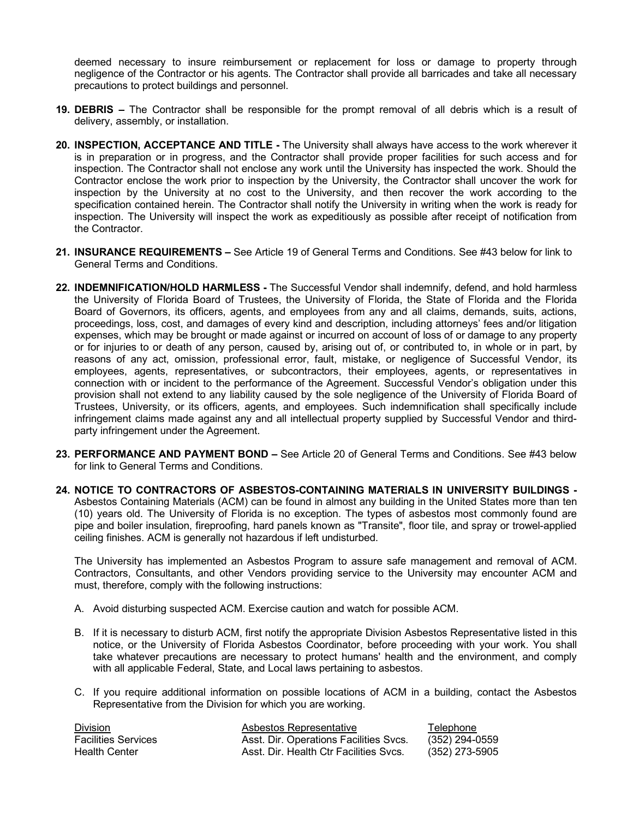deemed necessary to insure reimbursement or replacement for loss or damage to property through negligence of the Contractor or his agents. The Contractor shall provide all barricades and take all necessary precautions to protect buildings and personnel.

- **19. DEBRIS –** The Contractor shall be responsible for the prompt removal of all debris which is a result of delivery, assembly, or installation.
- **20. INSPECTION, ACCEPTANCE AND TITLE -** The University shall always have access to the work wherever it is in preparation or in progress, and the Contractor shall provide proper facilities for such access and for inspection. The Contractor shall not enclose any work until the University has inspected the work. Should the Contractor enclose the work prior to inspection by the University, the Contractor shall uncover the work for inspection by the University at no cost to the University, and then recover the work according to the specification contained herein. The Contractor shall notify the University in writing when the work is ready for inspection. The University will inspect the work as expeditiously as possible after receipt of notification from the Contractor.
- **21. INSURANCE REQUIREMENTS –** See Article 19 of General Terms and Conditions. See #43 below for link to General Terms and Conditions.
- **22. INDEMNIFICATION/HOLD HARMLESS -** The Successful Vendor shall indemnify, defend, and hold harmless the University of Florida Board of Trustees, the University of Florida, the State of Florida and the Florida Board of Governors, its officers, agents, and employees from any and all claims, demands, suits, actions, proceedings, loss, cost, and damages of every kind and description, including attorneys' fees and/or litigation expenses, which may be brought or made against or incurred on account of loss of or damage to any property or for injuries to or death of any person, caused by, arising out of, or contributed to, in whole or in part, by reasons of any act, omission, professional error, fault, mistake, or negligence of Successful Vendor, its employees, agents, representatives, or subcontractors, their employees, agents, or representatives in connection with or incident to the performance of the Agreement. Successful Vendor's obligation under this provision shall not extend to any liability caused by the sole negligence of the University of Florida Board of Trustees, University, or its officers, agents, and employees. Such indemnification shall specifically include infringement claims made against any and all intellectual property supplied by Successful Vendor and thirdparty infringement under the Agreement.
- **23. PERFORMANCE AND PAYMENT BOND –** See Article 20 of General Terms and Conditions. See #43 below for link to General Terms and Conditions.
- **24. NOTICE TO CONTRACTORS OF ASBESTOS-CONTAINING MATERIALS IN UNIVERSITY BUILDINGS -** Asbestos Containing Materials (ACM) can be found in almost any building in the United States more than ten (10) years old. The University of Florida is no exception. The types of asbestos most commonly found are pipe and boiler insulation, fireproofing, hard panels known as "Transite", floor tile, and spray or trowel-applied ceiling finishes. ACM is generally not hazardous if left undisturbed.

The University has implemented an Asbestos Program to assure safe management and removal of ACM. Contractors, Consultants, and other Vendors providing service to the University may encounter ACM and must, therefore, comply with the following instructions:

- A. Avoid disturbing suspected ACM. Exercise caution and watch for possible ACM.
- B. If it is necessary to disturb ACM, first notify the appropriate Division Asbestos Representative listed in this notice, or the University of Florida Asbestos Coordinator, before proceeding with your work. You shall take whatever precautions are necessary to protect humans' health and the environment, and comply with all applicable Federal, State, and Local laws pertaining to asbestos.
- C. If you require additional information on possible locations of ACM in a building, contact the Asbestos Representative from the Division for which you are working.

| <b>Division</b>            | Asbestos Representative                | Telephone      |
|----------------------------|----------------------------------------|----------------|
| <b>Facilities Services</b> | Asst. Dir. Operations Facilities Svcs. | (352) 294-0559 |
| <b>Health Center</b>       | Asst. Dir. Health Ctr Facilities Svcs. | (352) 273-5905 |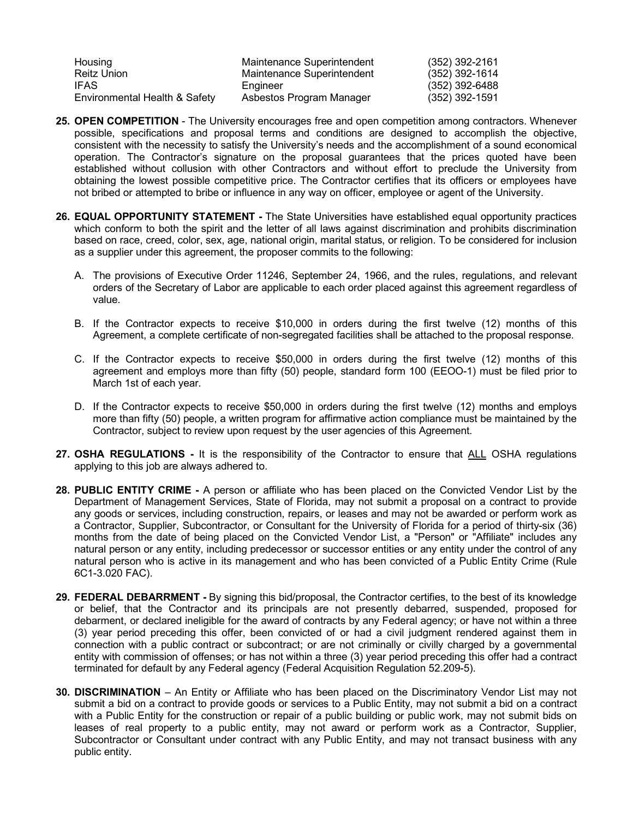| Housing                       | Maintenance Superintendent | (352) 392-2161 |
|-------------------------------|----------------------------|----------------|
| Reitz Union                   | Maintenance Superintendent | (352) 392-1614 |
| IFAS                          | Engineer                   | (352) 392-6488 |
| Environmental Health & Safety | Asbestos Program Manager   | (352) 392-1591 |

- **25. OPEN COMPETITION** The University encourages free and open competition among contractors. Whenever possible, specifications and proposal terms and conditions are designed to accomplish the objective, consistent with the necessity to satisfy the University's needs and the accomplishment of a sound economical operation. The Contractor's signature on the proposal guarantees that the prices quoted have been established without collusion with other Contractors and without effort to preclude the University from obtaining the lowest possible competitive price. The Contractor certifies that its officers or employees have not bribed or attempted to bribe or influence in any way on officer, employee or agent of the University.
- **26. EQUAL OPPORTUNITY STATEMENT -** The State Universities have established equal opportunity practices which conform to both the spirit and the letter of all laws against discrimination and prohibits discrimination based on race, creed, color, sex, age, national origin, marital status, or religion. To be considered for inclusion as a supplier under this agreement, the proposer commits to the following:
	- A. The provisions of Executive Order 11246, September 24, 1966, and the rules, regulations, and relevant orders of the Secretary of Labor are applicable to each order placed against this agreement regardless of value.
	- B. If the Contractor expects to receive \$10,000 in orders during the first twelve (12) months of this Agreement, a complete certificate of non-segregated facilities shall be attached to the proposal response.
	- C. If the Contractor expects to receive \$50,000 in orders during the first twelve (12) months of this agreement and employs more than fifty (50) people, standard form 100 (EEOO-1) must be filed prior to March 1st of each year.
	- D. If the Contractor expects to receive \$50,000 in orders during the first twelve (12) months and employs more than fifty (50) people, a written program for affirmative action compliance must be maintained by the Contractor, subject to review upon request by the user agencies of this Agreement.
- **27. OSHA REGULATIONS -** It is the responsibility of the Contractor to ensure that ALL OSHA regulations applying to this job are always adhered to.
- **28. PUBLIC ENTITY CRIME -** A person or affiliate who has been placed on the Convicted Vendor List by the Department of Management Services, State of Florida, may not submit a proposal on a contract to provide any goods or services, including construction, repairs, or leases and may not be awarded or perform work as a Contractor, Supplier, Subcontractor, or Consultant for the University of Florida for a period of thirty-six (36) months from the date of being placed on the Convicted Vendor List, a "Person" or "Affiliate" includes any natural person or any entity, including predecessor or successor entities or any entity under the control of any natural person who is active in its management and who has been convicted of a Public Entity Crime (Rule 6C1-3.020 FAC).
- **29. FEDERAL DEBARRMENT -** By signing this bid/proposal, the Contractor certifies, to the best of its knowledge or belief, that the Contractor and its principals are not presently debarred, suspended, proposed for debarment, or declared ineligible for the award of contracts by any Federal agency; or have not within a three (3) year period preceding this offer, been convicted of or had a civil judgment rendered against them in connection with a public contract or subcontract; or are not criminally or civilly charged by a governmental entity with commission of offenses; or has not within a three (3) year period preceding this offer had a contract terminated for default by any Federal agency (Federal Acquisition Regulation 52.209-5).
- **30. DISCRIMINATION** An Entity or Affiliate who has been placed on the Discriminatory Vendor List may not submit a bid on a contract to provide goods or services to a Public Entity, may not submit a bid on a contract with a Public Entity for the construction or repair of a public building or public work, may not submit bids on leases of real property to a public entity, may not award or perform work as a Contractor, Supplier, Subcontractor or Consultant under contract with any Public Entity, and may not transact business with any public entity.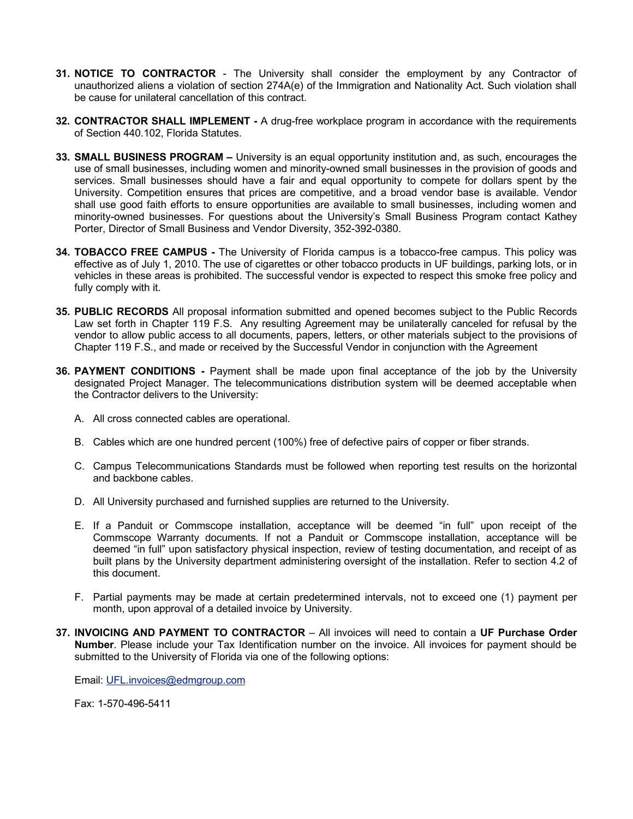- **31. NOTICE TO CONTRACTOR** The University shall consider the employment by any Contractor of unauthorized aliens a violation of section 274A(e) of the Immigration and Nationality Act. Such violation shall be cause for unilateral cancellation of this contract.
- **32. CONTRACTOR SHALL IMPLEMENT -** A drug-free workplace program in accordance with the requirements of Section 440.102, Florida Statutes.
- **33. SMALL BUSINESS PROGRAM –** University is an equal opportunity institution and, as such, encourages the use of small businesses, including women and minority-owned small businesses in the provision of goods and services. Small businesses should have a fair and equal opportunity to compete for dollars spent by the University. Competition ensures that prices are competitive, and a broad vendor base is available. Vendor shall use good faith efforts to ensure opportunities are available to small businesses, including women and minority-owned businesses. For questions about the University's Small Business Program contact Kathey Porter, Director of Small Business and Vendor Diversity, 352-392-0380.
- **34. TOBACCO FREE CAMPUS -** The University of Florida campus is a tobacco-free campus. This policy was effective as of July 1, 2010. The use of cigarettes or other tobacco products in UF buildings, parking lots, or in vehicles in these areas is prohibited. The successful vendor is expected to respect this smoke free policy and fully comply with it.
- **35. PUBLIC RECORDS** All proposal information submitted and opened becomes subject to the Public Records Law set forth in Chapter 119 F.S. Any resulting Agreement may be unilaterally canceled for refusal by the vendor to allow public access to all documents, papers, letters, or other materials subject to the provisions of Chapter 119 F.S., and made or received by the Successful Vendor in conjunction with the Agreement
- **36. PAYMENT CONDITIONS -** Payment shall be made upon final acceptance of the job by the University designated Project Manager. The telecommunications distribution system will be deemed acceptable when the Contractor delivers to the University:
	- A. All cross connected cables are operational.
	- B. Cables which are one hundred percent (100%) free of defective pairs of copper or fiber strands.
	- C. Campus Telecommunications Standards must be followed when reporting test results on the horizontal and backbone cables.
	- D. All University purchased and furnished supplies are returned to the University.
	- E. If a Panduit or Commscope installation, acceptance will be deemed "in full" upon receipt of the Commscope Warranty documents. If not a Panduit or Commscope installation, acceptance will be deemed "in full" upon satisfactory physical inspection, review of testing documentation, and receipt of as built plans by the University department administering oversight of the installation. Refer to section 4.2 of this document.
	- F. Partial payments may be made at certain predetermined intervals, not to exceed one (1) payment per month, upon approval of a detailed invoice by University.
- **37. INVOICING AND PAYMENT TO CONTRACTOR** All invoices will need to contain a **UF Purchase Order Number**. Please include your Tax Identification number on the invoice. All invoices for payment should be submitted to the University of Florida via one of the following options:

Email: [UFL.invoices@edmgroup.com](mailto:UFL.invoices@edmgroup.com)

Fax: 1-570-496-5411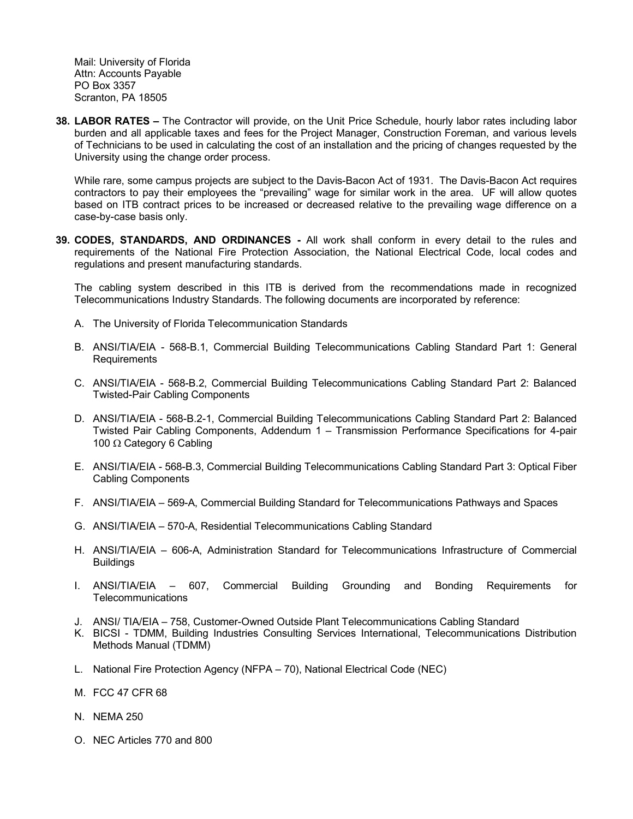Mail: University of Florida Attn: Accounts Payable PO Box 3357 Scranton, PA 18505

**38. LABOR RATES –** The Contractor will provide, on the Unit Price Schedule, hourly labor rates including labor burden and all applicable taxes and fees for the Project Manager, Construction Foreman, and various levels of Technicians to be used in calculating the cost of an installation and the pricing of changes requested by the University using the change order process.

While rare, some campus projects are subject to the Davis-Bacon Act of 1931. The Davis-Bacon Act requires contractors to pay their employees the "prevailing" wage for similar work in the area. UF will allow quotes based on ITB contract prices to be increased or decreased relative to the prevailing wage difference on a case-by-case basis only.

**39. CODES, STANDARDS, AND ORDINANCES -** All work shall conform in every detail to the rules and requirements of the National Fire Protection Association, the National Electrical Code, local codes and regulations and present manufacturing standards.

The cabling system described in this ITB is derived from the recommendations made in recognized Telecommunications Industry Standards. The following documents are incorporated by reference:

- A. The University of Florida Telecommunication Standards
- B. ANSI/TIA/EIA 568-B.1, Commercial Building Telecommunications Cabling Standard Part 1: General **Requirements**
- C. ANSI/TIA/EIA 568-B.2, Commercial Building Telecommunications Cabling Standard Part 2: Balanced Twisted-Pair Cabling Components
- D. ANSI/TIA/EIA 568-B.2-1, Commercial Building Telecommunications Cabling Standard Part 2: Balanced Twisted Pair Cabling Components, Addendum 1 – Transmission Performance Specifications for 4-pair 100 Ω Category 6 Cabling
- E. ANSI/TIA/EIA 568-B.3, Commercial Building Telecommunications Cabling Standard Part 3: Optical Fiber Cabling Components
- F. ANSI/TIA/EIA 569-A, Commercial Building Standard for Telecommunications Pathways and Spaces
- G. ANSI/TIA/EIA 570-A, Residential Telecommunications Cabling Standard
- H. ANSI/TIA/EIA 606-A, Administration Standard for Telecommunications Infrastructure of Commercial **Buildings**
- I. ANSI/TIA/EIA 607, Commercial Building Grounding and Bonding Requirements for **Telecommunications**
- J. ANSI/ TIA/EIA 758, Customer-Owned Outside Plant Telecommunications Cabling Standard
- K. BICSI TDMM, Building Industries Consulting Services International, Telecommunications Distribution Methods Manual (TDMM)
- L. National Fire Protection Agency (NFPA 70), National Electrical Code (NEC)
- M. FCC 47 CFR 68
- N. NEMA 250
- O. NEC Articles 770 and 800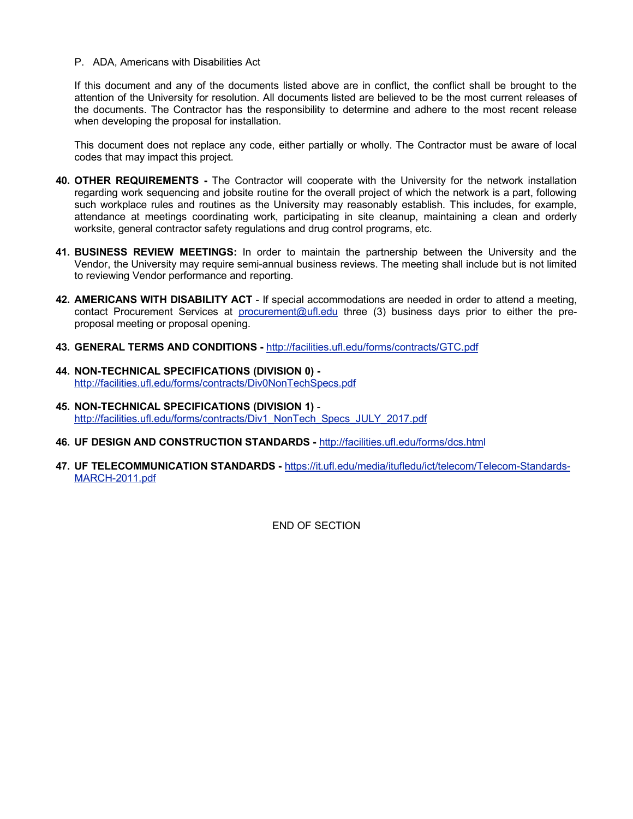#### P. ADA, Americans with Disabilities Act

If this document and any of the documents listed above are in conflict, the conflict shall be brought to the attention of the University for resolution. All documents listed are believed to be the most current releases of the documents. The Contractor has the responsibility to determine and adhere to the most recent release when developing the proposal for installation.

This document does not replace any code, either partially or wholly. The Contractor must be aware of local codes that may impact this project.

- **40. OTHER REQUIREMENTS -** The Contractor will cooperate with the University for the network installation regarding work sequencing and jobsite routine for the overall project of which the network is a part, following such workplace rules and routines as the University may reasonably establish. This includes, for example, attendance at meetings coordinating work, participating in site cleanup, maintaining a clean and orderly worksite, general contractor safety regulations and drug control programs, etc.
- **41. BUSINESS REVIEW MEETINGS:** In order to maintain the partnership between the University and the Vendor, the University may require semi-annual business reviews. The meeting shall include but is not limited to reviewing Vendor performance and reporting.
- **42. AMERICANS WITH DISABILITY ACT** If special accommodations are needed in order to attend a meeting, contact Procurement Services at [procurement@ufl.edu](mailto:procurement@ufl.edu) three (3) business days prior to either the preproposal meeting or proposal opening.
- **43. GENERAL TERMS AND CONDITIONS -** <http://facilities.ufl.edu/forms/contracts/GTC.pdf>
- **44. NON-TECHNICAL SPECIFICATIONS (DIVISION 0)**  <http://facilities.ufl.edu/forms/contracts/Div0NonTechSpecs.pdf>
- **45. NON-TECHNICAL SPECIFICATIONS (DIVISION 1)** [http://facilities.ufl.edu/forms/contracts/Div1\\_NonTech\\_Specs\\_JULY\\_2017.pdf](http://facilities.ufl.edu/forms/contracts/Div1_NonTech_Specs_JULY_2017.pdf)
- **46. UF DESIGN AND CONSTRUCTION STANDARDS -** <http://facilities.ufl.edu/forms/dcs.html>
- **47. UF TELECOMMUNICATION STANDARDS -** [https://it.ufl.edu/media/itufledu/ict/telecom/Telecom-Standards-](https://it.ufl.edu/media/itufledu/ict/telecom/Telecom-Standards-MARCH-2011.pdf)[MARCH-2011.pdf](https://it.ufl.edu/media/itufledu/ict/telecom/Telecom-Standards-MARCH-2011.pdf)

END OF SECTION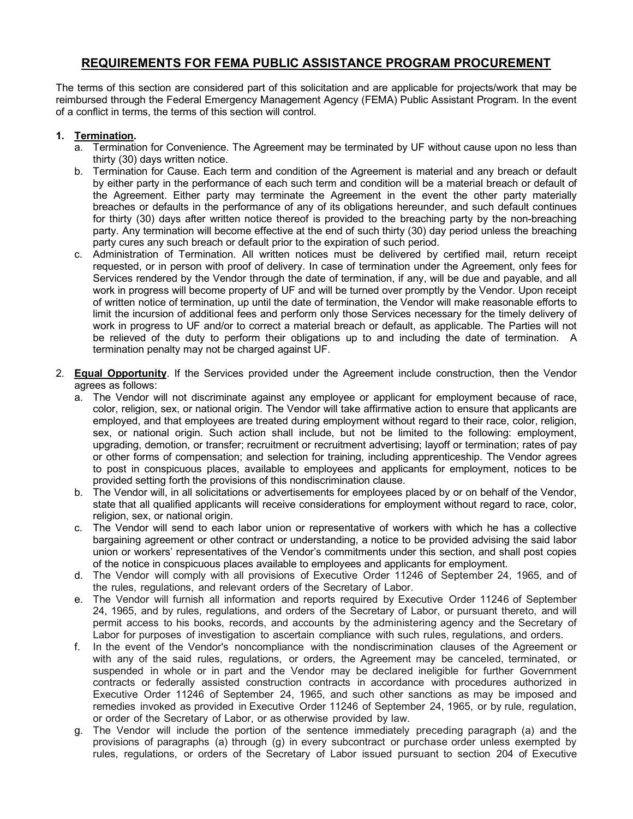# **REQUIREMENTS FOR FEMA PUBLIC ASSISTANCE PROGRAM PROCUREMENT**

The terms of this section are considered part of this solicitation and are applicable for projects/work that may be reimbursed through the Federal Emergency Management Agency (FEMA) Public Assistant Program. In the event of a conflict in terms, the terms of this section will control.

# **1. Termination.**

- a. Termination for Convenience. The Agreement may be terminated by UF without cause upon no less than thirty (30) days written notice.
- b. Termination for Cause. Each term and condition of the Agreement is material and any breach or default by either party in the performance of each such term and condition will be a material breach or default of the Agreement. Either party may terminate the Agreement in the event the other party materially breaches or defaults in the performance of any of its obligations hereunder, and such default continues for thirty (30) days after written notice thereof is provided to the breaching party by the non-breaching party. Any termination will become effective at the end of such thirty (30) day period unless the breaching party cures any such breach or default prior to the expiration of such period.
- c. Administration of Termination. All written notices must be delivered by certified mail, return receipt requested, or in person with proof of delivery. In case of termination under the Agreement, only fees for Services rendered by the Vendor through the date of termination, if any, will be due and payable, and all work in progress will become property of UF and will be turned over promptly by the Vendor. Upon receipt of written notice of termination, up until the date of termination, the Vendor will make reasonable efforts to limit the incursion of additional fees and perform only those Services necessary for the timely delivery of work in progress to UF and/or to correct a material breach or default, as applicable. The Parties will not be relieved of the duty to perform their obligations up to and including the date of termination. A termination penalty may not be charged against UF.
- 2. **Equal Opportunity**. If the Services provided under the Agreement include construction, then the Vendor agrees as follows:
	- a. The Vendor will not discriminate against any employee or applicant for employment because of race, color, religion, sex, or national origin. The Vendor will take affirmative action to ensure that applicants are employed, and that employees are treated during employment without regard to their race, color, religion, sex, or national origin. Such action shall include, but not be limited to the following: employment, upgrading, demotion, or transfer; recruitment or recruitment advertising; layoff or termination; rates of pay or other forms of compensation; and selection for training, including apprenticeship. The Vendor agrees to post in conspicuous places, available to employees and applicants for employment, notices to be provided setting forth the provisions of this nondiscrimination clause.
	- b. The Vendor will, in all solicitations or advertisements for employees placed by or on behalf of the Vendor, state that all qualified applicants will receive considerations for employment without regard to race, color, religion, sex, or national origin.
	- c. The Vendor will send to each labor union or representative of workers with which he has a collective bargaining agreement or other contract or understanding, a notice to be provided advising the said labor union or workers' representatives of the Vendor's commitments under this section, and shall post copies of the notice in conspicuous places available to employees and applicants for employment.
	- d. The Vendor will comply with all provisions of Executive Order 11246 of September 24, 1965, and of the rules, regulations, and relevant orders of the Secretary of Labor.
	- e. The Vendor will furnish all information and reports required by Executive Order 11246 of September 24, 1965, and by rules, regulations, and orders of the Secretary of Labor, or pursuant thereto, and will permit access to his books, records, and accounts by the administering agency and the Secretary of Labor for purposes of investigation to ascertain compliance with such rules, regulations, and orders.
	- f. In the event of the Vendor's noncompliance with the nondiscrimination clauses of the Agreement or with any of the said rules, regulations, or orders, the Agreement may be canceled, terminated, or suspended in whole or in part and the Vendor may be declared ineligible for further Government contracts or federally assisted construction contracts in accordance with procedures authorized in Executive Order 11246 of September 24, 1965, and such other sanctions as may be imposed and remedies invoked as provided in Executive Order 11246 of September 24, 1965, or by rule, regulation, or order of the Secretary of Labor, or as otherwise provided by law.
	- g. The Vendor will include the portion of the sentence immediately preceding paragraph (a) and the provisions of paragraphs (a) through (g) in every subcontract or purchase order unless exempted by rules, regulations, or orders of the Secretary of Labor issued pursuant to section 204 of Executive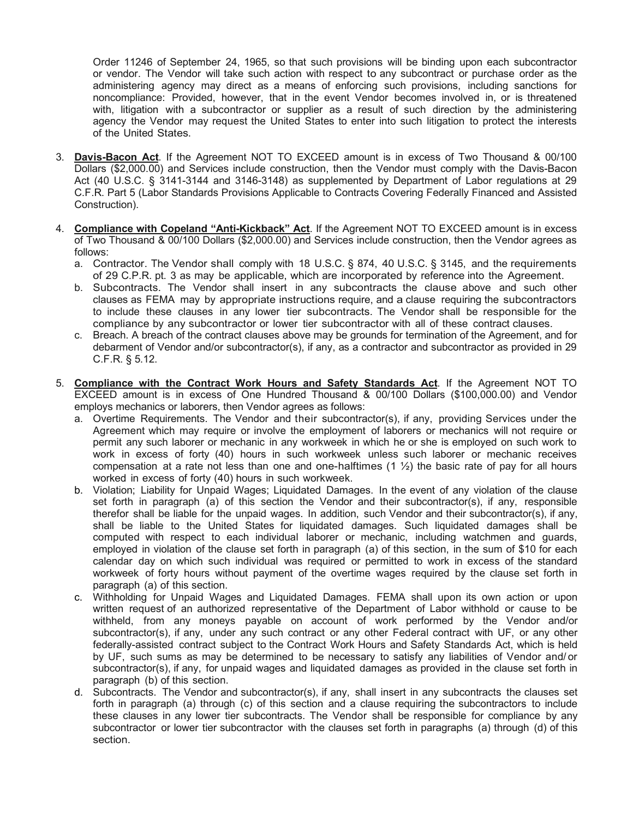Order 11246 of September 24, 1965, so that such provisions will be binding upon each subcontractor or vendor. The Vendor will take such action with respect to any subcontract or purchase order as the administering agency may direct as a means of enforcing such provisions, including sanctions for noncompliance: Provided, however, that in the event Vendor becomes involved in, or is threatened with, litigation with a subcontractor or supplier as a result of such direction by the administering agency the Vendor may request the United States to enter into such litigation to protect the interests of the United States.

- 3. **Davis-Bacon Act**. If the Agreement NOT TO EXCEED amount is in excess of Two Thousand & 00/100 Dollars (\$2,000.00) and Services include construction, then the Vendor must comply with the Davis-Bacon Act (40 U.S.C. § 3141-3144 and 3146-3148) as supplemented by Department of Labor regulations at 29 C.F.R. Part 5 (Labor Standards Provisions Applicable to Contracts Covering Federally Financed and Assisted Construction).
- 4. **Compliance with Copeland "Anti-Kickback" Act**. If the Agreement NOT TO EXCEED amount is in excess of Two Thousand & 00/100 Dollars (\$2,000.00) and Services include construction, then the Vendor agrees as follows:
	- a. Contractor. The Vendor shall comply with 18 U.S.C. § 874, 40 U.S.C. § 3145, and the requirements of 29 C.P.R. pt. 3 as may be applicable, which are incorporated by reference into the Agreement.
	- b. Subcontracts. The Vendor shall insert in any subcontracts the clause above and such other clauses as FEMA may by appropriate instructions require, and a clause requiring the subcontractors to include these clauses in any lower tier subcontracts. The Vendor shall be responsible for the compliance by any subcontractor or lower tier subcontractor with all of these contract clauses.
	- c. Breach. A breach of the contract clauses above may be grounds for termination of the Agreement, and for debarment of Vendor and/or subcontractor(s), if any, as a contractor and subcontractor as provided in 29 C.F.R. § 5.12.
- 5. **Compliance with the Contract Work Hours and Safety Standards Act**. If the Agreement NOT TO EXCEED amount is in excess of One Hundred Thousand & 00/100 Dollars (\$100,000.00) and Vendor employs mechanics or laborers, then Vendor agrees as follows:
	- a. Overtime Requirements. The Vendor and their subcontractor(s), if any, providing Services under the Agreement which may require or involve the employment of laborers or mechanics will not require or permit any such laborer or mechanic in any workweek in which he or she is employed on such work to work in excess of forty (40) hours in such workweek unless such laborer or mechanic receives compensation at a rate not less than one and one-halftimes (1  $\frac{1}{2}$ ) the basic rate of pay for all hours worked in excess of forty (40) hours in such workweek.
	- b. Violation; Liability for Unpaid Wages; Liquidated Damages. In the event of any violation of the clause set forth in paragraph (a) of this section the Vendor and their subcontractor(s), if any, responsible therefor shall be liable for the unpaid wages. In addition, such Vendor and their subcontractor(s), if any, shall be liable to the United States for liquidated damages. Such liquidated damages shall be computed with respect to each individual laborer or mechanic, including watchmen and guards, employed in violation of the clause set forth in paragraph (a) of this section, in the sum of \$10 for each calendar day on which such individual was required or permitted to work in excess of the standard workweek of forty hours without payment of the overtime wages required by the clause set forth in paragraph (a) of this section.
	- c. Withholding for Unpaid Wages and Liquidated Damages. FEMA shall upon its own action or upon written request of an authorized representative of the Department of Labor withhold or cause to be withheld, from any moneys payable on account of work performed by the Vendor and/or subcontractor(s), if any, under any such contract or any other Federal contract with UF, or any other federally-assisted contract subject to the Contract Work Hours and Safety Standards Act, which is held by UF, such sums as may be determined to be necessary to satisfy any liabilities of Vendor and/ or subcontractor(s), if any, for unpaid wages and liquidated damages as provided in the clause set forth in paragraph (b) of this section.
	- d. Subcontracts. The Vendor and subcontractor(s), if any, shall insert in any subcontracts the clauses set forth in paragraph (a) through (c) of this section and a clause requiring the subcontractors to include these clauses in any lower tier subcontracts. The Vendor shall be responsible for compliance by any subcontractor or lower tier subcontractor with the clauses set forth in paragraphs (a) through (d) of this section.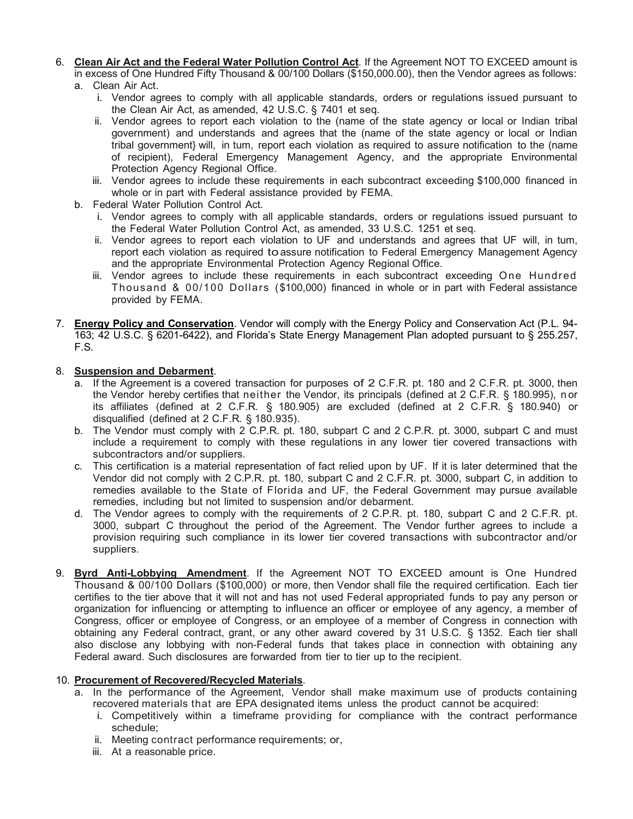- 6. **Clean Air Act and the Federal Water Pollution Control Act**. If the Agreement NOT TO EXCEED amount is in excess of One Hundred Fifty Thousand & 00/100 Dollars (\$150,000.00), then the Vendor agrees as follows:
	- a. Clean Air Act.
		- i. Vendor agrees to comply with all applicable standards, orders or regulations issued pursuant to the Clean Air Act, as amended, 42 U.S.C. § 7401 et seq.
		- ii. Vendor agrees to report each violation to the (name of the state agency or local or Indian tribal government) and understands and agrees that the (name of the state agency or local or Indian tribal government} will, in tum, report each violation as required to assure notification to the (name of recipient), Federal Emergency Management Agency, and the appropriate Environmental Protection Agency Regional Office.
		- iii. Vendor agrees to include these requirements in each subcontract exceeding \$100,000 financed in whole or in part with Federal assistance provided by FEMA.
	- b. Federal Water Pollution Control Act.
		- i. Vendor agrees to comply with all applicable standards, orders or regulations issued pursuant to the Federal Water Pollution Control Act, as amended, 33 U.S.C. 1251 et seq.
		- ii. Vendor agrees to report each violation to UF and understands and agrees that UF will, in tum, report each violation as required to assure notification to Federal Emergency Management Agency and the appropriate Environmental Protection Agency Regional Office.
		- iii. Vendor agrees to include these requirements in each subcontract exceeding One Hundred Thousand & 00/100 Dollars (\$100,000) financed in whole or in part with Federal assistance provided by FEMA.
- 7. **Energy Policy and Conservation**. Vendor will comply with the Energy Policy and Conservation Act (P.L. 94- 163; 42 U.S.C. § 6201-6422), and Florida's State Energy Management Plan adopted pursuant to § 255.257, F.S.

# 8. **Suspension and Debarment**.

- a. If the Agreement is a covered transaction for purposes of 2 C.F.R. pt. 180 and 2 C.F.R. pt. 3000, then the Vendor hereby certifies that neither the Vendor, its principals (defined at 2 C.F.R. § 180.995), n or its affiliates (defined at 2 C.F.R. § 180.905) are excluded (defined at 2 C.F.R. § 180.940) or disqualified (defined at 2 C.F.R. § 180.935).
- b. The Vendor must comply with 2 C.P.R. pt. 180, subpart C and 2 C.P.R. pt. 3000, subpart C and must include a requirement to comply with these regulations in any lower tier covered transactions with subcontractors and/or suppliers.
- c. This certification is a material representation of fact relied upon by UF. If it is later determined that the Vendor did not comply with 2 C.P.R. pt. 180, subpart C and 2 C.F.R. pt. 3000, subpart C, in addition to remedies available to the State of Florida and UF, the Federal Government may pursue available remedies, including but not limited to suspension and/or debarment.
- d. The Vendor agrees to comply with the requirements of 2 C.P.R. pt. 180, subpart C and 2 C.F.R. pt. 3000, subpart C throughout the period of the Agreement. The Vendor further agrees to include a provision requiring such compliance in its lower tier covered transactions with subcontractor and/or suppliers.
- 9. **Byrd Anti-Lobbying Amendment**. If the Agreement NOT TO EXCEED amount is One Hundred Thousand & 00/100 Dollars (\$100,000) or more, then Vendor shall file the required certification. Each tier certifies to the tier above that it will not and has not used Federal appropriated funds to pay any person or organization for influencing or attempting to influence an officer or employee of any agency, a member of Congress, officer or employee of Congress, or an employee of a member of Congress in connection with obtaining any Federal contract, grant, or any other award covered by 31 U.S.C. § 1352. Each tier shall also disclose any lobbying with non-Federal funds that takes place in connection with obtaining any Federal award. Such disclosures are forwarded from tier to tier up to the recipient.

# 10. **Procurement of Recovered/Recycled Materials**.

- a. In the performance of the Agreement, Vendor shall make maximum use of products containing recovered materials that are EPA designated items unless the product cannot be acquired:
	- i. Competitively within a timeframe providing for compliance with the contract performance schedule;
	- ii. Meeting contract performance requirements; or,
	- iii. At a reasonable price.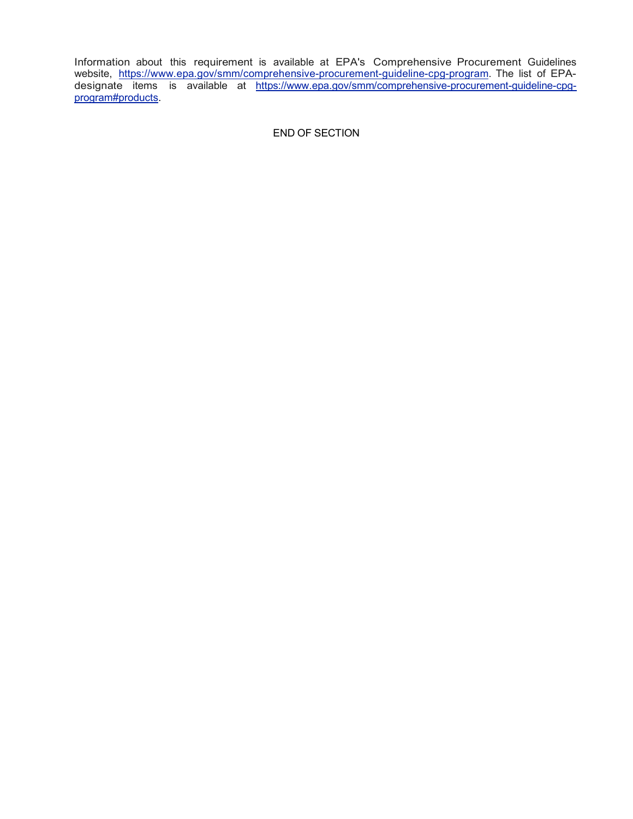Information about this requirement is available at EPA's Comprehensive Procurement Guidelines website, [https://www.epa.gov/smm/comprehensive-procurement-guideline-cpg-program.](https://www.epa.gov/smm/comprehensive-procurement-guideline-cpg-program) The list of EPAdesignate items is available at [https://www.epa.gov/smm/comprehensive-procurement-guideline-cpg](https://www.epa.gov/smm/comprehensive-procurement-guideline-cpg-program#products)[program#products.](https://www.epa.gov/smm/comprehensive-procurement-guideline-cpg-program#products)

END OF SECTION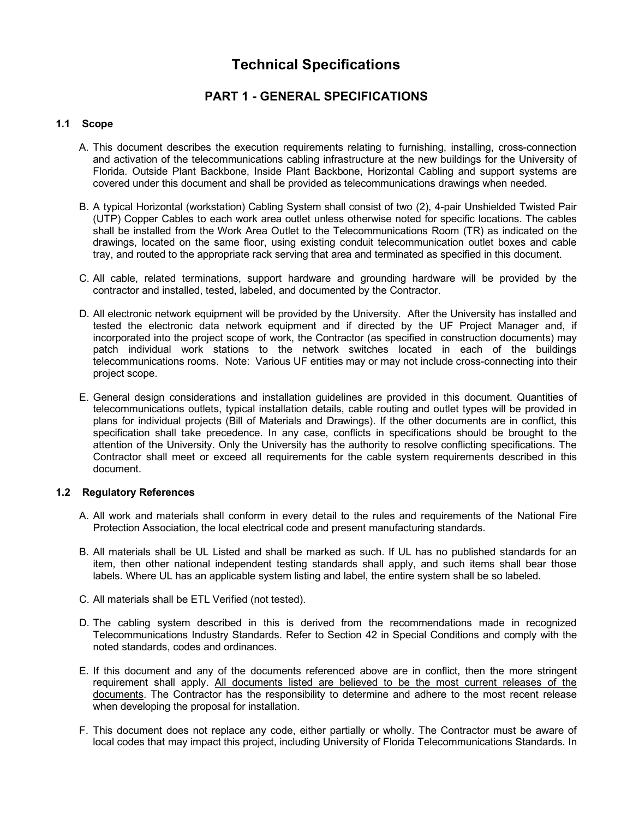# **Technical Specifications**

# **PART 1 - GENERAL SPECIFICATIONS**

# **1.1 Scope**

- A. This document describes the execution requirements relating to furnishing, installing, cross-connection and activation of the telecommunications cabling infrastructure at the new buildings for the University of Florida. Outside Plant Backbone, Inside Plant Backbone, Horizontal Cabling and support systems are covered under this document and shall be provided as telecommunications drawings when needed.
- B. A typical Horizontal (workstation) Cabling System shall consist of two (2), 4-pair Unshielded Twisted Pair (UTP) Copper Cables to each work area outlet unless otherwise noted for specific locations. The cables shall be installed from the Work Area Outlet to the Telecommunications Room (TR) as indicated on the drawings, located on the same floor, using existing conduit telecommunication outlet boxes and cable tray, and routed to the appropriate rack serving that area and terminated as specified in this document.
- C. All cable, related terminations, support hardware and grounding hardware will be provided by the contractor and installed, tested, labeled, and documented by the Contractor.
- D. All electronic network equipment will be provided by the University. After the University has installed and tested the electronic data network equipment and if directed by the UF Project Manager and, if incorporated into the project scope of work, the Contractor (as specified in construction documents) may patch individual work stations to the network switches located in each of the buildings telecommunications rooms. Note: Various UF entities may or may not include cross-connecting into their project scope.
- E. General design considerations and installation guidelines are provided in this document. Quantities of telecommunications outlets, typical installation details, cable routing and outlet types will be provided in plans for individual projects (Bill of Materials and Drawings). If the other documents are in conflict, this specification shall take precedence. In any case, conflicts in specifications should be brought to the attention of the University. Only the University has the authority to resolve conflicting specifications. The Contractor shall meet or exceed all requirements for the cable system requirements described in this document.

# **1.2 Regulatory References**

- A. All work and materials shall conform in every detail to the rules and requirements of the National Fire Protection Association, the local electrical code and present manufacturing standards.
- B. All materials shall be UL Listed and shall be marked as such. If UL has no published standards for an item, then other national independent testing standards shall apply, and such items shall bear those labels. Where UL has an applicable system listing and label, the entire system shall be so labeled.
- C. All materials shall be ETL Verified (not tested).
- D. The cabling system described in this is derived from the recommendations made in recognized Telecommunications Industry Standards. Refer to Section 42 in Special Conditions and comply with the noted standards, codes and ordinances.
- E. If this document and any of the documents referenced above are in conflict, then the more stringent requirement shall apply. All documents listed are believed to be the most current releases of the documents. The Contractor has the responsibility to determine and adhere to the most recent release when developing the proposal for installation.
- F. This document does not replace any code, either partially or wholly. The Contractor must be aware of local codes that may impact this project, including University of Florida Telecommunications Standards. In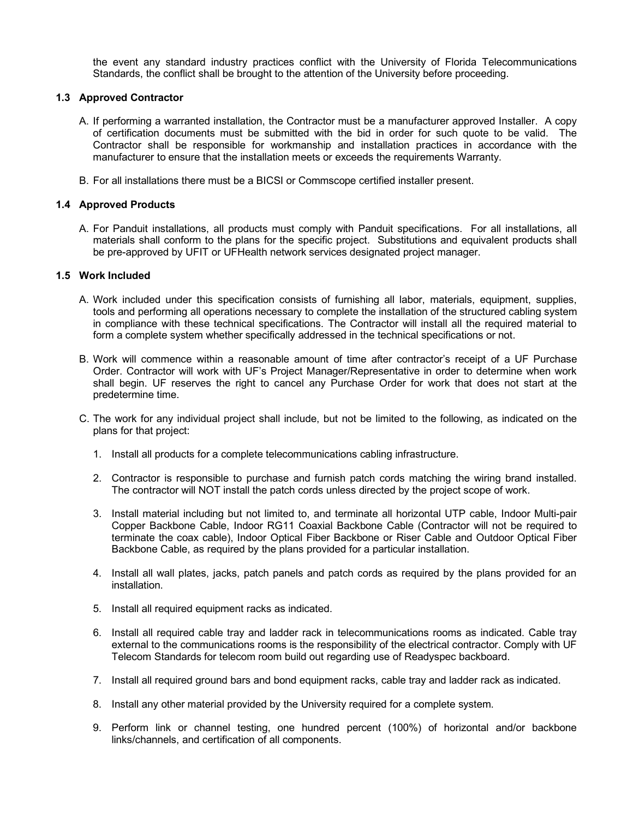the event any standard industry practices conflict with the University of Florida Telecommunications Standards, the conflict shall be brought to the attention of the University before proceeding.

# **1.3 Approved Contractor**

- A. If performing a warranted installation, the Contractor must be a manufacturer approved Installer. A copy of certification documents must be submitted with the bid in order for such quote to be valid. The Contractor shall be responsible for workmanship and installation practices in accordance with the manufacturer to ensure that the installation meets or exceeds the requirements Warranty.
- B. For all installations there must be a BICSI or Commscope certified installer present.

# **1.4 Approved Products**

A. For Panduit installations, all products must comply with Panduit specifications. For all installations, all materials shall conform to the plans for the specific project. Substitutions and equivalent products shall be pre-approved by UFIT or UFHealth network services designated project manager.

# **1.5 Work Included**

- A. Work included under this specification consists of furnishing all labor, materials, equipment, supplies, tools and performing all operations necessary to complete the installation of the structured cabling system in compliance with these technical specifications. The Contractor will install all the required material to form a complete system whether specifically addressed in the technical specifications or not.
- B. Work will commence within a reasonable amount of time after contractor's receipt of a UF Purchase Order. Contractor will work with UF's Project Manager/Representative in order to determine when work shall begin. UF reserves the right to cancel any Purchase Order for work that does not start at the predetermine time.
- C. The work for any individual project shall include, but not be limited to the following, as indicated on the plans for that project:
	- 1. Install all products for a complete telecommunications cabling infrastructure.
	- 2. Contractor is responsible to purchase and furnish patch cords matching the wiring brand installed. The contractor will NOT install the patch cords unless directed by the project scope of work.
	- 3. Install material including but not limited to, and terminate all horizontal UTP cable, Indoor Multi-pair Copper Backbone Cable, Indoor RG11 Coaxial Backbone Cable (Contractor will not be required to terminate the coax cable), Indoor Optical Fiber Backbone or Riser Cable and Outdoor Optical Fiber Backbone Cable, as required by the plans provided for a particular installation.
	- 4. Install all wall plates, jacks, patch panels and patch cords as required by the plans provided for an installation.
	- 5. Install all required equipment racks as indicated.
	- 6. Install all required cable tray and ladder rack in telecommunications rooms as indicated. Cable tray external to the communications rooms is the responsibility of the electrical contractor. Comply with UF Telecom Standards for telecom room build out regarding use of Readyspec backboard.
	- 7. Install all required ground bars and bond equipment racks, cable tray and ladder rack as indicated.
	- 8. Install any other material provided by the University required for a complete system.
	- 9. Perform link or channel testing, one hundred percent (100%) of horizontal and/or backbone links/channels, and certification of all components.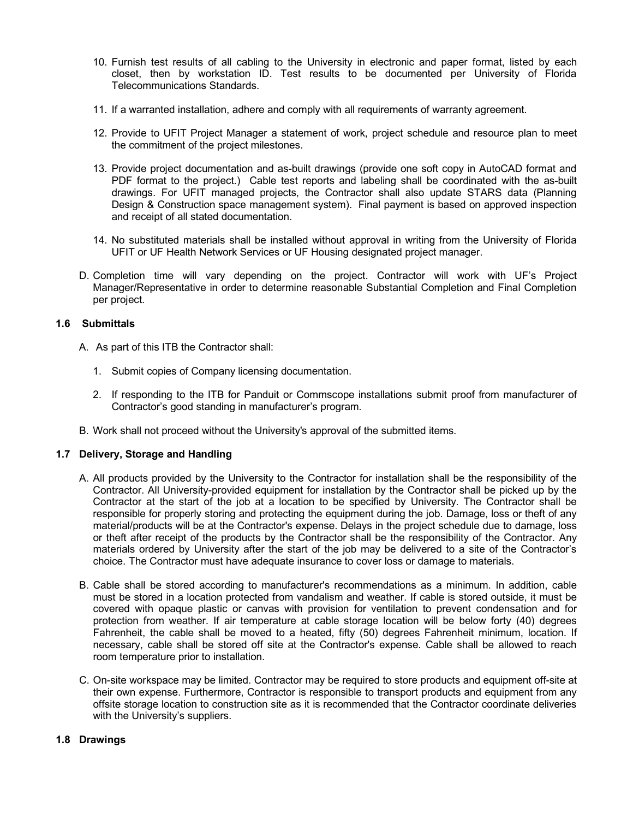- 10. Furnish test results of all cabling to the University in electronic and paper format, listed by each closet, then by workstation ID. Test results to be documented per University of Florida Telecommunications Standards.
- 11. If a warranted installation, adhere and comply with all requirements of warranty agreement.
- 12. Provide to UFIT Project Manager a statement of work, project schedule and resource plan to meet the commitment of the project milestones.
- 13. Provide project documentation and as-built drawings (provide one soft copy in AutoCAD format and PDF format to the project.) Cable test reports and labeling shall be coordinated with the as-built drawings. For UFIT managed projects, the Contractor shall also update STARS data (Planning Design & Construction space management system). Final payment is based on approved inspection and receipt of all stated documentation.
- 14. No substituted materials shall be installed without approval in writing from the University of Florida UFIT or UF Health Network Services or UF Housing designated project manager.
- D. Completion time will vary depending on the project. Contractor will work with UF's Project Manager/Representative in order to determine reasonable Substantial Completion and Final Completion per project.

# **1.6 Submittals**

- A. As part of this ITB the Contractor shall:
	- 1. Submit copies of Company licensing documentation.
	- 2. If responding to the ITB for Panduit or Commscope installations submit proof from manufacturer of Contractor's good standing in manufacturer's program.
- B. Work shall not proceed without the University's approval of the submitted items.

# **1.7 Delivery, Storage and Handling**

- A. All products provided by the University to the Contractor for installation shall be the responsibility of the Contractor. All University-provided equipment for installation by the Contractor shall be picked up by the Contractor at the start of the job at a location to be specified by University. The Contractor shall be responsible for properly storing and protecting the equipment during the job. Damage, loss or theft of any material/products will be at the Contractor's expense. Delays in the project schedule due to damage, loss or theft after receipt of the products by the Contractor shall be the responsibility of the Contractor. Any materials ordered by University after the start of the job may be delivered to a site of the Contractor's choice. The Contractor must have adequate insurance to cover loss or damage to materials.
- B. Cable shall be stored according to manufacturer's recommendations as a minimum. In addition, cable must be stored in a location protected from vandalism and weather. If cable is stored outside, it must be covered with opaque plastic or canvas with provision for ventilation to prevent condensation and for protection from weather. If air temperature at cable storage location will be below forty (40) degrees Fahrenheit, the cable shall be moved to a heated, fifty (50) degrees Fahrenheit minimum, location. If necessary, cable shall be stored off site at the Contractor's expense. Cable shall be allowed to reach room temperature prior to installation.
- C. On-site workspace may be limited. Contractor may be required to store products and equipment off-site at their own expense. Furthermore, Contractor is responsible to transport products and equipment from any offsite storage location to construction site as it is recommended that the Contractor coordinate deliveries with the University's suppliers.

# **1.8 Drawings**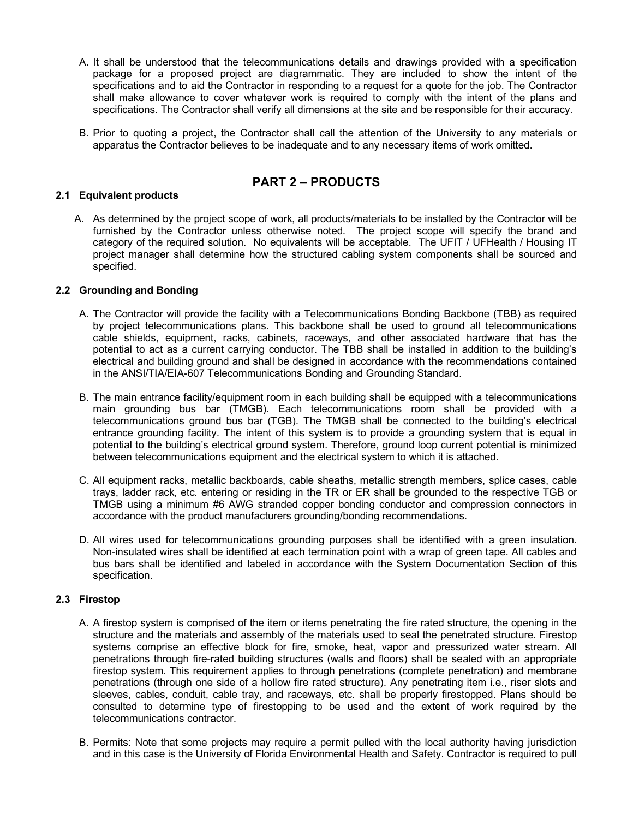- A. It shall be understood that the telecommunications details and drawings provided with a specification package for a proposed project are diagrammatic. They are included to show the intent of the specifications and to aid the Contractor in responding to a request for a quote for the job. The Contractor shall make allowance to cover whatever work is required to comply with the intent of the plans and specifications. The Contractor shall verify all dimensions at the site and be responsible for their accuracy.
- B. Prior to quoting a project, the Contractor shall call the attention of the University to any materials or apparatus the Contractor believes to be inadequate and to any necessary items of work omitted.

# **PART 2 – PRODUCTS**

# **2.1 Equivalent products**

A. As determined by the project scope of work, all products/materials to be installed by the Contractor will be furnished by the Contractor unless otherwise noted. The project scope will specify the brand and category of the required solution. No equivalents will be acceptable. The UFIT / UFHealth / Housing IT project manager shall determine how the structured cabling system components shall be sourced and specified.

# **2.2 Grounding and Bonding**

- A. The Contractor will provide the facility with a Telecommunications Bonding Backbone (TBB) as required by project telecommunications plans. This backbone shall be used to ground all telecommunications cable shields, equipment, racks, cabinets, raceways, and other associated hardware that has the potential to act as a current carrying conductor. The TBB shall be installed in addition to the building's electrical and building ground and shall be designed in accordance with the recommendations contained in the ANSI/TIA/EIA-607 Telecommunications Bonding and Grounding Standard.
- B. The main entrance facility/equipment room in each building shall be equipped with a telecommunications main grounding bus bar (TMGB). Each telecommunications room shall be provided with a telecommunications ground bus bar (TGB). The TMGB shall be connected to the building's electrical entrance grounding facility. The intent of this system is to provide a grounding system that is equal in potential to the building's electrical ground system. Therefore, ground loop current potential is minimized between telecommunications equipment and the electrical system to which it is attached.
- C. All equipment racks, metallic backboards, cable sheaths, metallic strength members, splice cases, cable trays, ladder rack, etc. entering or residing in the TR or ER shall be grounded to the respective TGB or TMGB using a minimum #6 AWG stranded copper bonding conductor and compression connectors in accordance with the product manufacturers grounding/bonding recommendations.
- D. All wires used for telecommunications grounding purposes shall be identified with a green insulation. Non-insulated wires shall be identified at each termination point with a wrap of green tape. All cables and bus bars shall be identified and labeled in accordance with the System Documentation Section of this specification.

# **2.3 Firestop**

- A. A firestop system is comprised of the item or items penetrating the fire rated structure, the opening in the structure and the materials and assembly of the materials used to seal the penetrated structure. Firestop systems comprise an effective block for fire, smoke, heat, vapor and pressurized water stream. All penetrations through fire-rated building structures (walls and floors) shall be sealed with an appropriate firestop system. This requirement applies to through penetrations (complete penetration) and membrane penetrations (through one side of a hollow fire rated structure). Any penetrating item i.e., riser slots and sleeves, cables, conduit, cable tray, and raceways, etc. shall be properly firestopped. Plans should be consulted to determine type of firestopping to be used and the extent of work required by the telecommunications contractor.
- B. Permits: Note that some projects may require a permit pulled with the local authority having jurisdiction and in this case is the University of Florida Environmental Health and Safety. Contractor is required to pull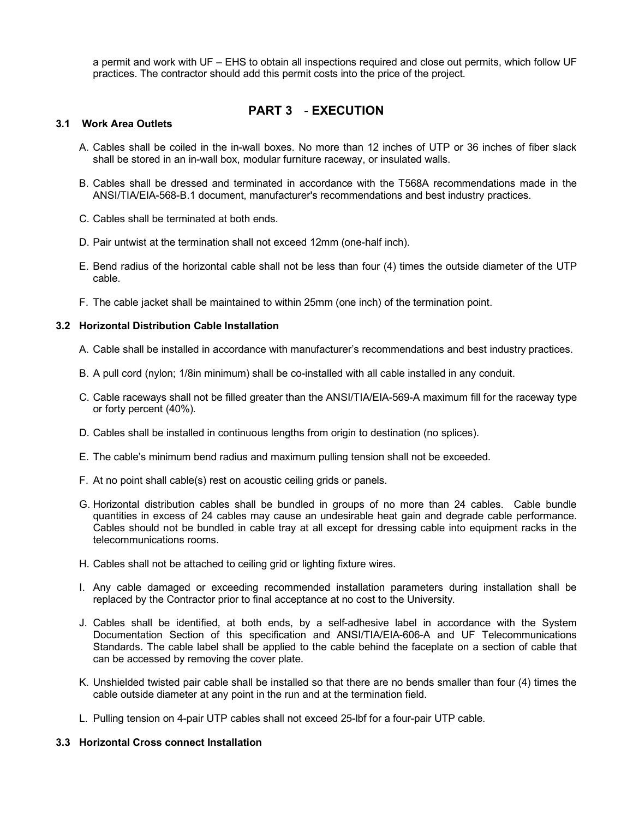a permit and work with UF – EHS to obtain all inspections required and close out permits, which follow UF practices. The contractor should add this permit costs into the price of the project.

# **PART 3** - **EXECUTION**

## **3.1 Work Area Outlets**

- A. Cables shall be coiled in the in-wall boxes. No more than 12 inches of UTP or 36 inches of fiber slack shall be stored in an in-wall box, modular furniture raceway, or insulated walls.
- B. Cables shall be dressed and terminated in accordance with the T568A recommendations made in the ANSI/TIA/EIA-568-B.1 document, manufacturer's recommendations and best industry practices.
- C. Cables shall be terminated at both ends.
- D. Pair untwist at the termination shall not exceed 12mm (one-half inch).
- E. Bend radius of the horizontal cable shall not be less than four (4) times the outside diameter of the UTP cable.
- F. The cable jacket shall be maintained to within 25mm (one inch) of the termination point.

#### **3.2 Horizontal Distribution Cable Installation**

- A. Cable shall be installed in accordance with manufacturer's recommendations and best industry practices.
- B. A pull cord (nylon; 1/8in minimum) shall be co-installed with all cable installed in any conduit.
- C. Cable raceways shall not be filled greater than the ANSI/TIA/EIA-569-A maximum fill for the raceway type or forty percent (40%).
- D. Cables shall be installed in continuous lengths from origin to destination (no splices).
- E. The cable's minimum bend radius and maximum pulling tension shall not be exceeded.
- F. At no point shall cable(s) rest on acoustic ceiling grids or panels.
- G. Horizontal distribution cables shall be bundled in groups of no more than 24 cables. Cable bundle quantities in excess of 24 cables may cause an undesirable heat gain and degrade cable performance. Cables should not be bundled in cable tray at all except for dressing cable into equipment racks in the telecommunications rooms.
- H. Cables shall not be attached to ceiling grid or lighting fixture wires.
- I. Any cable damaged or exceeding recommended installation parameters during installation shall be replaced by the Contractor prior to final acceptance at no cost to the University.
- J. Cables shall be identified, at both ends, by a self-adhesive label in accordance with the System Documentation Section of this specification and ANSI/TIA/EIA-606-A and UF Telecommunications Standards. The cable label shall be applied to the cable behind the faceplate on a section of cable that can be accessed by removing the cover plate.
- K. Unshielded twisted pair cable shall be installed so that there are no bends smaller than four (4) times the cable outside diameter at any point in the run and at the termination field.
- L. Pulling tension on 4-pair UTP cables shall not exceed 25-lbf for a four-pair UTP cable.

#### **3.3 Horizontal Cross connect Installation**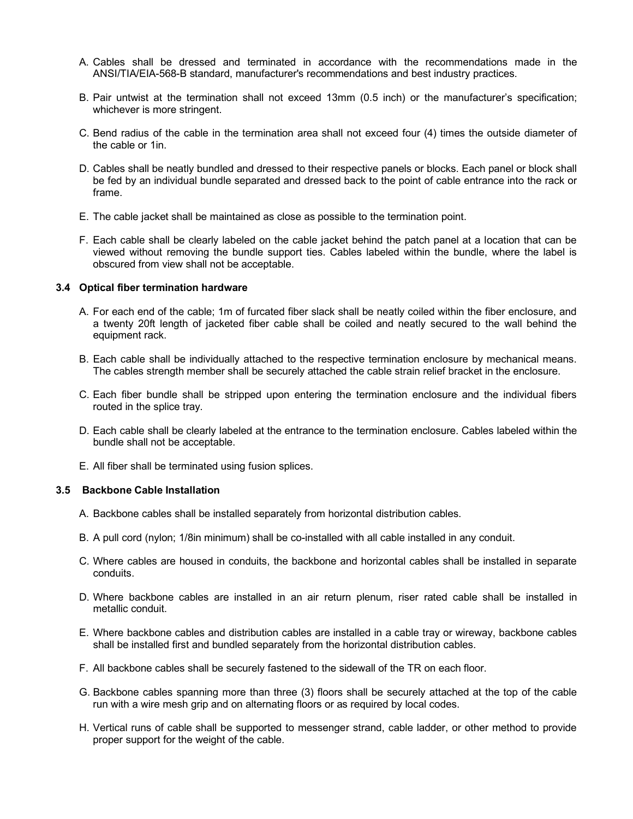- A. Cables shall be dressed and terminated in accordance with the recommendations made in the ANSI/TIA/EIA-568-B standard, manufacturer's recommendations and best industry practices.
- B. Pair untwist at the termination shall not exceed 13mm (0.5 inch) or the manufacturer's specification; whichever is more stringent.
- C. Bend radius of the cable in the termination area shall not exceed four (4) times the outside diameter of the cable or 1in.
- D. Cables shall be neatly bundled and dressed to their respective panels or blocks. Each panel or block shall be fed by an individual bundle separated and dressed back to the point of cable entrance into the rack or frame.
- E. The cable jacket shall be maintained as close as possible to the termination point.
- F. Each cable shall be clearly labeled on the cable jacket behind the patch panel at a location that can be viewed without removing the bundle support ties. Cables labeled within the bundle, where the label is obscured from view shall not be acceptable.

#### **3.4 Optical fiber termination hardware**

- A. For each end of the cable; 1m of furcated fiber slack shall be neatly coiled within the fiber enclosure, and a twenty 20ft length of jacketed fiber cable shall be coiled and neatly secured to the wall behind the equipment rack.
- B. Each cable shall be individually attached to the respective termination enclosure by mechanical means. The cables strength member shall be securely attached the cable strain relief bracket in the enclosure.
- C. Each fiber bundle shall be stripped upon entering the termination enclosure and the individual fibers routed in the splice tray.
- D. Each cable shall be clearly labeled at the entrance to the termination enclosure. Cables labeled within the bundle shall not be acceptable.
- E. All fiber shall be terminated using fusion splices.

#### **3.5 Backbone Cable Installation**

- A. Backbone cables shall be installed separately from horizontal distribution cables.
- B. A pull cord (nylon; 1/8in minimum) shall be co-installed with all cable installed in any conduit.
- C. Where cables are housed in conduits, the backbone and horizontal cables shall be installed in separate conduits.
- D. Where backbone cables are installed in an air return plenum, riser rated cable shall be installed in metallic conduit.
- E. Where backbone cables and distribution cables are installed in a cable tray or wireway, backbone cables shall be installed first and bundled separately from the horizontal distribution cables.
- F. All backbone cables shall be securely fastened to the sidewall of the TR on each floor.
- G. Backbone cables spanning more than three (3) floors shall be securely attached at the top of the cable run with a wire mesh grip and on alternating floors or as required by local codes.
- H. Vertical runs of cable shall be supported to messenger strand, cable ladder, or other method to provide proper support for the weight of the cable.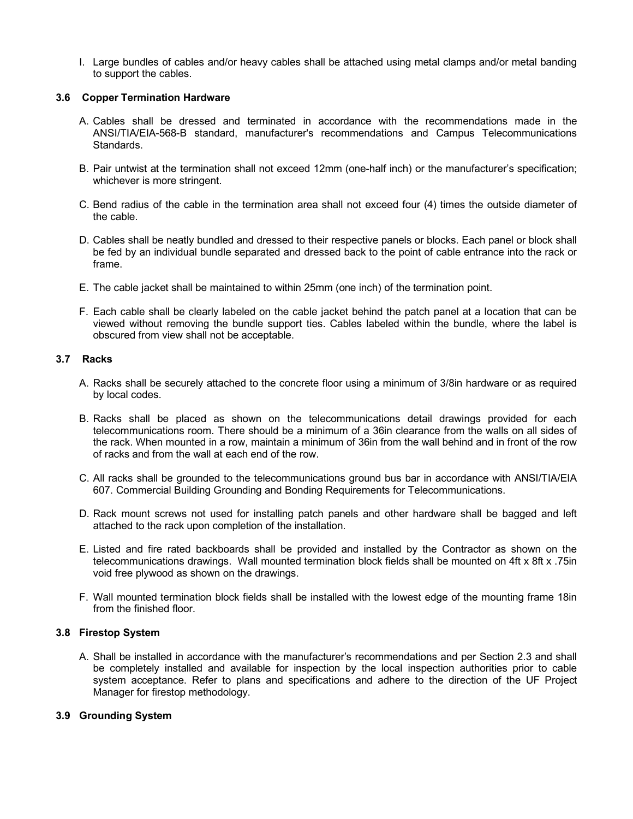I. Large bundles of cables and/or heavy cables shall be attached using metal clamps and/or metal banding to support the cables.

# **3.6 Copper Termination Hardware**

- A. Cables shall be dressed and terminated in accordance with the recommendations made in the ANSI/TIA/EIA-568-B standard, manufacturer's recommendations and Campus Telecommunications Standards.
- B. Pair untwist at the termination shall not exceed 12mm (one-half inch) or the manufacturer's specification; whichever is more stringent.
- C. Bend radius of the cable in the termination area shall not exceed four (4) times the outside diameter of the cable.
- D. Cables shall be neatly bundled and dressed to their respective panels or blocks. Each panel or block shall be fed by an individual bundle separated and dressed back to the point of cable entrance into the rack or frame.
- E. The cable jacket shall be maintained to within 25mm (one inch) of the termination point.
- F. Each cable shall be clearly labeled on the cable jacket behind the patch panel at a location that can be viewed without removing the bundle support ties. Cables labeled within the bundle, where the label is obscured from view shall not be acceptable.

# **3.7 Racks**

- A. Racks shall be securely attached to the concrete floor using a minimum of 3/8in hardware or as required by local codes.
- B. Racks shall be placed as shown on the telecommunications detail drawings provided for each telecommunications room. There should be a minimum of a 36in clearance from the walls on all sides of the rack. When mounted in a row, maintain a minimum of 36in from the wall behind and in front of the row of racks and from the wall at each end of the row.
- C. All racks shall be grounded to the telecommunications ground bus bar in accordance with ANSI/TIA/EIA 607. Commercial Building Grounding and Bonding Requirements for Telecommunications.
- D. Rack mount screws not used for installing patch panels and other hardware shall be bagged and left attached to the rack upon completion of the installation.
- E. Listed and fire rated backboards shall be provided and installed by the Contractor as shown on the telecommunications drawings. Wall mounted termination block fields shall be mounted on 4ft x 8ft x .75in void free plywood as shown on the drawings.
- F. Wall mounted termination block fields shall be installed with the lowest edge of the mounting frame 18in from the finished floor.

# **3.8 Firestop System**

A. Shall be installed in accordance with the manufacturer's recommendations and per Section 2.3 and shall be completely installed and available for inspection by the local inspection authorities prior to cable system acceptance. Refer to plans and specifications and adhere to the direction of the UF Project Manager for firestop methodology.

# **3.9 Grounding System**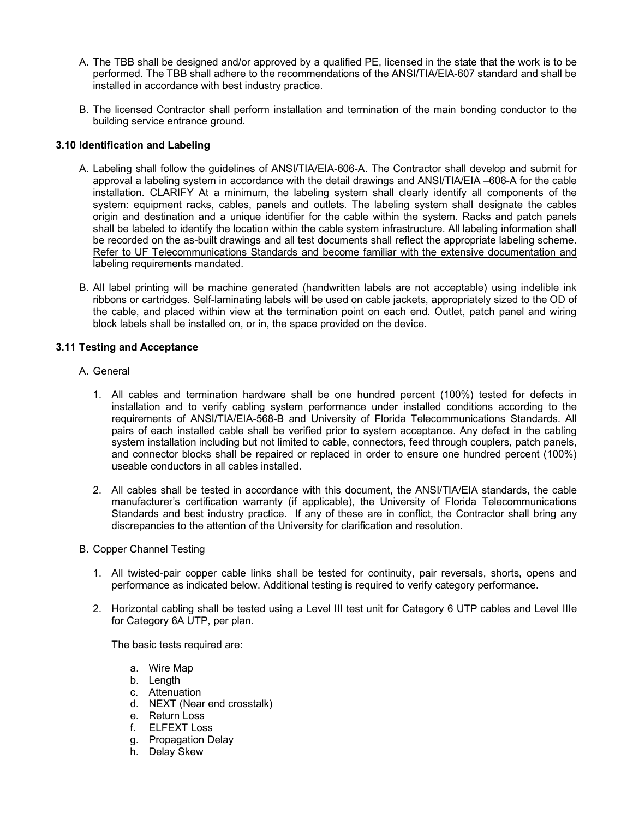- A. The TBB shall be designed and/or approved by a qualified PE, licensed in the state that the work is to be performed. The TBB shall adhere to the recommendations of the ANSI/TIA/EIA-607 standard and shall be installed in accordance with best industry practice.
- B. The licensed Contractor shall perform installation and termination of the main bonding conductor to the building service entrance ground.

# **3.10 Identification and Labeling**

- A. Labeling shall follow the guidelines of ANSI/TIA/EIA-606-A. The Contractor shall develop and submit for approval a labeling system in accordance with the detail drawings and ANSI/TIA/EIA –606-A for the cable installation. CLARIFY At a minimum, the labeling system shall clearly identify all components of the system: equipment racks, cables, panels and outlets. The labeling system shall designate the cables origin and destination and a unique identifier for the cable within the system. Racks and patch panels shall be labeled to identify the location within the cable system infrastructure. All labeling information shall be recorded on the as-built drawings and all test documents shall reflect the appropriate labeling scheme. Refer to UF Telecommunications Standards and become familiar with the extensive documentation and labeling requirements mandated.
- B. All label printing will be machine generated (handwritten labels are not acceptable) using indelible ink ribbons or cartridges. Self-laminating labels will be used on cable jackets, appropriately sized to the OD of the cable, and placed within view at the termination point on each end. Outlet, patch panel and wiring block labels shall be installed on, or in, the space provided on the device.

# **3.11 Testing and Acceptance**

- A. General
	- 1. All cables and termination hardware shall be one hundred percent (100%) tested for defects in installation and to verify cabling system performance under installed conditions according to the requirements of ANSI/TIA/EIA-568-B and University of Florida Telecommunications Standards. All pairs of each installed cable shall be verified prior to system acceptance. Any defect in the cabling system installation including but not limited to cable, connectors, feed through couplers, patch panels, and connector blocks shall be repaired or replaced in order to ensure one hundred percent (100%) useable conductors in all cables installed.
	- 2. All cables shall be tested in accordance with this document, the ANSI/TIA/EIA standards, the cable manufacturer's certification warranty (if applicable), the University of Florida Telecommunications Standards and best industry practice. If any of these are in conflict, the Contractor shall bring any discrepancies to the attention of the University for clarification and resolution.
- B. Copper Channel Testing
	- 1. All twisted-pair copper cable links shall be tested for continuity, pair reversals, shorts, opens and performance as indicated below. Additional testing is required to verify category performance.
	- 2. Horizontal cabling shall be tested using a Level III test unit for Category 6 UTP cables and Level IIIe for Category 6A UTP, per plan.

The basic tests required are:

- a. Wire Map
- b. Length
- c. Attenuation
- d. NEXT (Near end crosstalk)
- e. Return Loss
- f. ELFEXT Loss
- g. Propagation Delay
- h. Delay Skew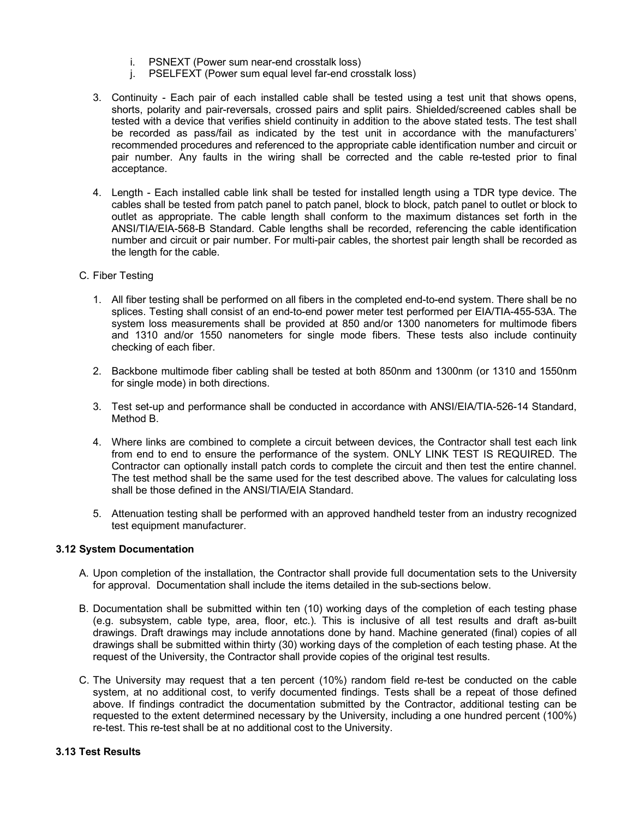- i. PSNEXT (Power sum near-end crosstalk loss)
- j. PSELFEXT (Power sum equal level far-end crosstalk loss)
- 3. Continuity Each pair of each installed cable shall be tested using a test unit that shows opens, shorts, polarity and pair-reversals, crossed pairs and split pairs. Shielded/screened cables shall be tested with a device that verifies shield continuity in addition to the above stated tests. The test shall be recorded as pass/fail as indicated by the test unit in accordance with the manufacturers' recommended procedures and referenced to the appropriate cable identification number and circuit or pair number. Any faults in the wiring shall be corrected and the cable re-tested prior to final acceptance.
- 4. Length Each installed cable link shall be tested for installed length using a TDR type device. The cables shall be tested from patch panel to patch panel, block to block, patch panel to outlet or block to outlet as appropriate. The cable length shall conform to the maximum distances set forth in the ANSI/TIA/EIA-568-B Standard. Cable lengths shall be recorded, referencing the cable identification number and circuit or pair number. For multi-pair cables, the shortest pair length shall be recorded as the length for the cable.
- C. Fiber Testing
	- 1. All fiber testing shall be performed on all fibers in the completed end-to-end system. There shall be no splices. Testing shall consist of an end-to-end power meter test performed per EIA/TIA-455-53A. The system loss measurements shall be provided at 850 and/or 1300 nanometers for multimode fibers and 1310 and/or 1550 nanometers for single mode fibers. These tests also include continuity checking of each fiber.
	- 2. Backbone multimode fiber cabling shall be tested at both 850nm and 1300nm (or 1310 and 1550nm for single mode) in both directions.
	- 3. Test set-up and performance shall be conducted in accordance with ANSI/EIA/TIA-526-14 Standard, Method B.
	- 4. Where links are combined to complete a circuit between devices, the Contractor shall test each link from end to end to ensure the performance of the system. ONLY LINK TEST IS REQUIRED. The Contractor can optionally install patch cords to complete the circuit and then test the entire channel. The test method shall be the same used for the test described above. The values for calculating loss shall be those defined in the ANSI/TIA/EIA Standard.
	- 5. Attenuation testing shall be performed with an approved handheld tester from an industry recognized test equipment manufacturer.

# **3.12 System Documentation**

- A. Upon completion of the installation, the Contractor shall provide full documentation sets to the University for approval. Documentation shall include the items detailed in the sub-sections below.
- B. Documentation shall be submitted within ten (10) working days of the completion of each testing phase (e.g. subsystem, cable type, area, floor, etc.). This is inclusive of all test results and draft as-built drawings. Draft drawings may include annotations done by hand. Machine generated (final) copies of all drawings shall be submitted within thirty (30) working days of the completion of each testing phase. At the request of the University, the Contractor shall provide copies of the original test results.
- C. The University may request that a ten percent (10%) random field re-test be conducted on the cable system, at no additional cost, to verify documented findings. Tests shall be a repeat of those defined above. If findings contradict the documentation submitted by the Contractor, additional testing can be requested to the extent determined necessary by the University, including a one hundred percent (100%) re-test. This re-test shall be at no additional cost to the University.

# **3.13 Test Results**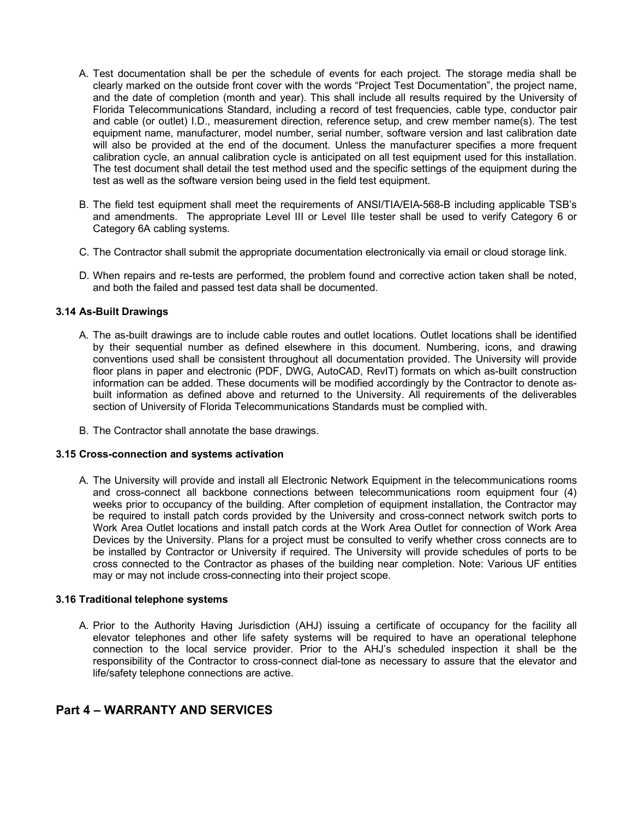- A. Test documentation shall be per the schedule of events for each project. The storage media shall be clearly marked on the outside front cover with the words "Project Test Documentation", the project name, and the date of completion (month and year). This shall include all results required by the University of Florida Telecommunications Standard, including a record of test frequencies, cable type, conductor pair and cable (or outlet) I.D., measurement direction, reference setup, and crew member name(s). The test equipment name, manufacturer, model number, serial number, software version and last calibration date will also be provided at the end of the document. Unless the manufacturer specifies a more frequent calibration cycle, an annual calibration cycle is anticipated on all test equipment used for this installation. The test document shall detail the test method used and the specific settings of the equipment during the test as well as the software version being used in the field test equipment.
- B. The field test equipment shall meet the requirements of ANSI/TIA/EIA-568-B including applicable TSB's and amendments. The appropriate Level III or Level IIIe tester shall be used to verify Category 6 or Category 6A cabling systems.
- C. The Contractor shall submit the appropriate documentation electronically via email or cloud storage link.
- D. When repairs and re-tests are performed, the problem found and corrective action taken shall be noted, and both the failed and passed test data shall be documented.

# **3.14 As-Built Drawings**

- A. The as-built drawings are to include cable routes and outlet locations. Outlet locations shall be identified by their sequential number as defined elsewhere in this document. Numbering, icons, and drawing conventions used shall be consistent throughout all documentation provided. The University will provide floor plans in paper and electronic (PDF, DWG, AutoCAD, RevIT) formats on which as-built construction information can be added. These documents will be modified accordingly by the Contractor to denote asbuilt information as defined above and returned to the University. All requirements of the deliverables section of University of Florida Telecommunications Standards must be complied with.
- B. The Contractor shall annotate the base drawings.

#### **3.15 Cross-connection and systems activation**

A. The University will provide and install all Electronic Network Equipment in the telecommunications rooms and cross-connect all backbone connections between telecommunications room equipment four (4) weeks prior to occupancy of the building. After completion of equipment installation, the Contractor may be required to install patch cords provided by the University and cross-connect network switch ports to Work Area Outlet locations and install patch cords at the Work Area Outlet for connection of Work Area Devices by the University. Plans for a project must be consulted to verify whether cross connects are to be installed by Contractor or University if required. The University will provide schedules of ports to be cross connected to the Contractor as phases of the building near completion. Note: Various UF entities may or may not include cross-connecting into their project scope.

# **3.16 Traditional telephone systems**

A. Prior to the Authority Having Jurisdiction (AHJ) issuing a certificate of occupancy for the facility all elevator telephones and other life safety systems will be required to have an operational telephone connection to the local service provider. Prior to the AHJ's scheduled inspection it shall be the responsibility of the Contractor to cross-connect dial-tone as necessary to assure that the elevator and life/safety telephone connections are active.

# **Part 4 – WARRANTY AND SERVICES**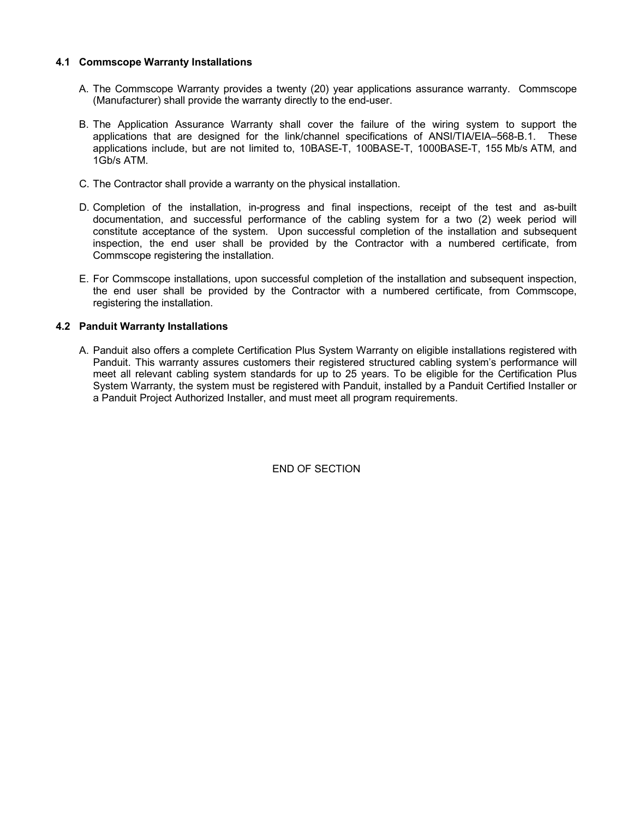# **4.1 Commscope Warranty Installations**

- A. The Commscope Warranty provides a twenty (20) year applications assurance warranty. Commscope (Manufacturer) shall provide the warranty directly to the end-user.
- B. The Application Assurance Warranty shall cover the failure of the wiring system to support the applications that are designed for the link/channel specifications of ANSI/TIA/EIA–568-B.1. These applications include, but are not limited to, 10BASE-T, 100BASE-T, 1000BASE-T, 155 Mb/s ATM, and 1Gb/s ATM.
- C. The Contractor shall provide a warranty on the physical installation.
- D. Completion of the installation, in-progress and final inspections, receipt of the test and as-built documentation, and successful performance of the cabling system for a two (2) week period will constitute acceptance of the system. Upon successful completion of the installation and subsequent inspection, the end user shall be provided by the Contractor with a numbered certificate, from Commscope registering the installation.
- E. For Commscope installations, upon successful completion of the installation and subsequent inspection, the end user shall be provided by the Contractor with a numbered certificate, from Commscope, registering the installation.

# **4.2 Panduit Warranty Installations**

A. Panduit also offers a complete Certification Plus System Warranty on eligible installations registered with Panduit. This warranty assures customers their registered structured cabling system's performance will meet all relevant cabling system standards for up to 25 years. To be eligible for the Certification Plus System Warranty, the system must be registered with Panduit, installed by a Panduit Certified Installer or a Panduit Project Authorized Installer, and must meet all program requirements.

END OF SECTION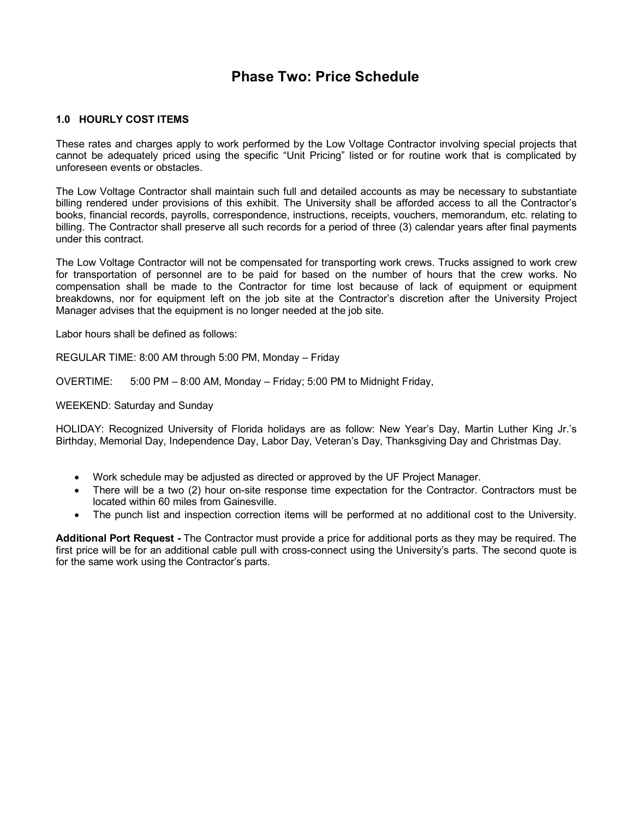# **Phase Two: Price Schedule**

# **1.0 HOURLY COST ITEMS**

These rates and charges apply to work performed by the Low Voltage Contractor involving special projects that cannot be adequately priced using the specific "Unit Pricing" listed or for routine work that is complicated by unforeseen events or obstacles.

The Low Voltage Contractor shall maintain such full and detailed accounts as may be necessary to substantiate billing rendered under provisions of this exhibit. The University shall be afforded access to all the Contractor's books, financial records, payrolls, correspondence, instructions, receipts, vouchers, memorandum, etc. relating to billing. The Contractor shall preserve all such records for a period of three (3) calendar years after final payments under this contract.

The Low Voltage Contractor will not be compensated for transporting work crews. Trucks assigned to work crew for transportation of personnel are to be paid for based on the number of hours that the crew works. No compensation shall be made to the Contractor for time lost because of lack of equipment or equipment breakdowns, nor for equipment left on the job site at the Contractor's discretion after the University Project Manager advises that the equipment is no longer needed at the job site.

Labor hours shall be defined as follows:

REGULAR TIME: 8:00 AM through 5:00 PM, Monday – Friday

OVERTIME: 5:00 PM – 8:00 AM, Monday – Friday; 5:00 PM to Midnight Friday,

## WEEKEND: Saturday and Sunday

HOLIDAY: Recognized University of Florida holidays are as follow: New Year's Day, Martin Luther King Jr.'s Birthday, Memorial Day, Independence Day, Labor Day, Veteran's Day, Thanksgiving Day and Christmas Day.

- Work schedule may be adjusted as directed or approved by the UF Project Manager.
- There will be a two (2) hour on-site response time expectation for the Contractor. Contractors must be located within 60 miles from Gainesville.
- The punch list and inspection correction items will be performed at no additional cost to the University.

**Additional Port Request -** The Contractor must provide a price for additional ports as they may be required. The first price will be for an additional cable pull with cross-connect using the University's parts. The second quote is for the same work using the Contractor's parts.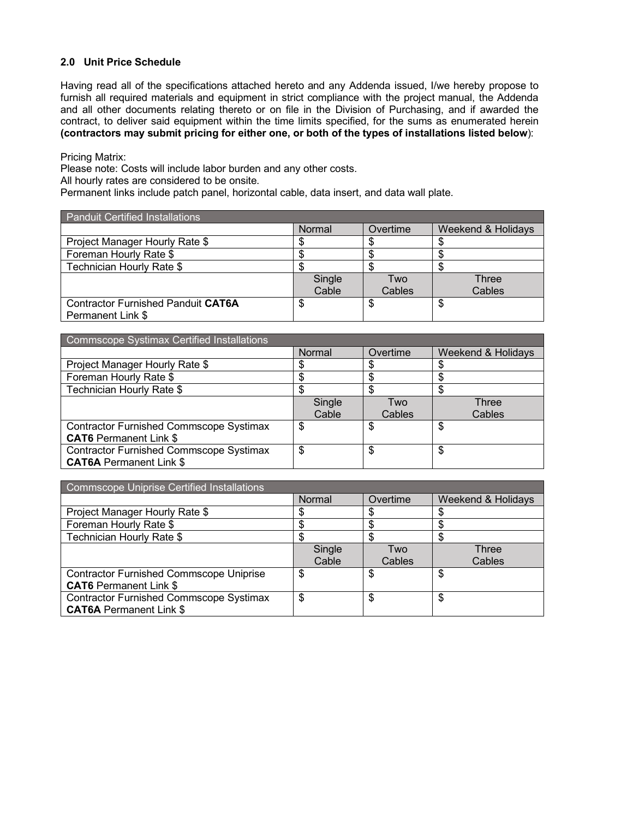# **2.0 Unit Price Schedule**

Having read all of the specifications attached hereto and any Addenda issued, I/we hereby propose to furnish all required materials and equipment in strict compliance with the project manual, the Addenda and all other documents relating thereto or on file in the Division of Purchasing, and if awarded the contract, to deliver said equipment within the time limits specified, for the sums as enumerated herein **(contractors may submit pricing for either one, or both of the types of installations listed below**):

Pricing Matrix:

Please note: Costs will include labor burden and any other costs.

All hourly rates are considered to be onsite.

Permanent links include patch panel, horizontal cable, data insert, and data wall plate.

| <b>Panduit Certified Installations</b>    |        |          |                    |  |
|-------------------------------------------|--------|----------|--------------------|--|
|                                           | Normal | Overtime | Weekend & Holidays |  |
| Project Manager Hourly Rate \$            |        |          |                    |  |
| Foreman Hourly Rate \$                    |        |          |                    |  |
| Technician Hourly Rate \$                 |        |          |                    |  |
|                                           | Single | Two      | Three              |  |
|                                           | Cable  | Cables   | Cables             |  |
| <b>Contractor Furnished Panduit CAT6A</b> |        | S        | S                  |  |
| Permanent Link \$                         |        |          |                    |  |

| Commscope Systimax Certified Installations     |        |          |                    |  |  |
|------------------------------------------------|--------|----------|--------------------|--|--|
|                                                | Normal | Overtime | Weekend & Holidays |  |  |
| Project Manager Hourly Rate \$                 |        |          |                    |  |  |
| Foreman Hourly Rate \$                         |        |          |                    |  |  |
| Technician Hourly Rate \$                      |        | c        |                    |  |  |
|                                                | Single | Two      | Three              |  |  |
|                                                | Cable  | Cables   | Cables             |  |  |
| <b>Contractor Furnished Commscope Systimax</b> | S      | \$       | S                  |  |  |
| <b>CAT6</b> Permanent Link \$                  |        |          |                    |  |  |
| <b>Contractor Furnished Commscope Systimax</b> | \$     | \$       | \$                 |  |  |
| <b>CAT6A Permanent Link \$</b>                 |        |          |                    |  |  |

| Commscope Uniprise Certified Installations     |        |          |                    |  |  |
|------------------------------------------------|--------|----------|--------------------|--|--|
|                                                | Normal | Overtime | Weekend & Holidays |  |  |
| Project Manager Hourly Rate \$                 |        |          |                    |  |  |
| Foreman Hourly Rate \$                         |        |          |                    |  |  |
| Technician Hourly Rate \$                      |        |          |                    |  |  |
|                                                | Single | Two      | Three              |  |  |
|                                                | Cable  | Cables   | Cables             |  |  |
| <b>Contractor Furnished Commscope Uniprise</b> | S      | \$       | S                  |  |  |
| <b>CAT6</b> Permanent Link \$                  |        |          |                    |  |  |
| <b>Contractor Furnished Commscope Systimax</b> | \$     | \$       | \$                 |  |  |
| <b>CAT6A Permanent Link \$</b>                 |        |          |                    |  |  |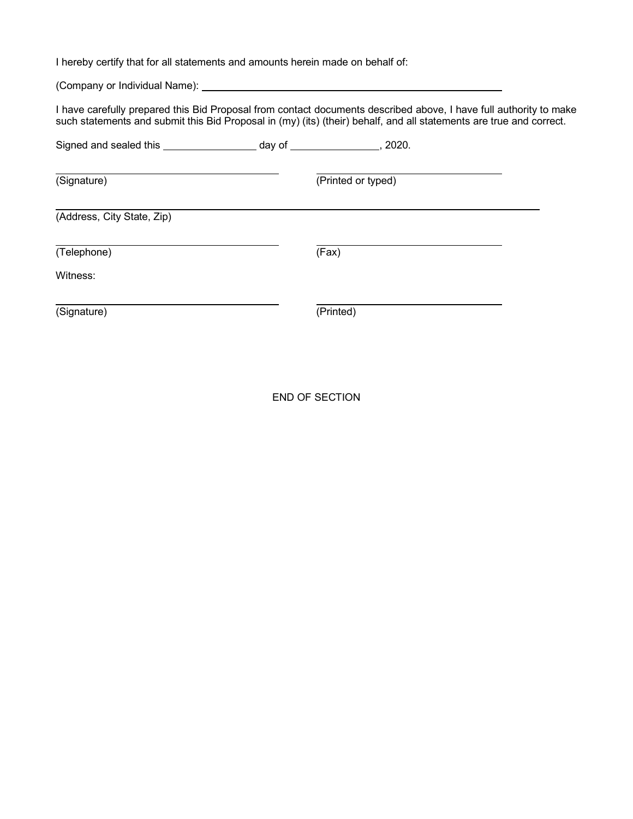I hereby certify that for all statements and amounts herein made on behalf of:

(Company or Individual Name):

I have carefully prepared this Bid Proposal from contact documents described above, I have full authority to make such statements and submit this Bid Proposal in (my) (its) (their) behalf, and all statements are true and correct.

| Signed and sealed this __  | day of | 2020.              |  |
|----------------------------|--------|--------------------|--|
| (Signature)                |        | (Printed or typed) |  |
| (Address, City State, Zip) |        |                    |  |
| (Telephone)                |        | (Fax)              |  |
| Witness:                   |        |                    |  |
| (Signature)                |        | (Printed)          |  |

END OF SECTION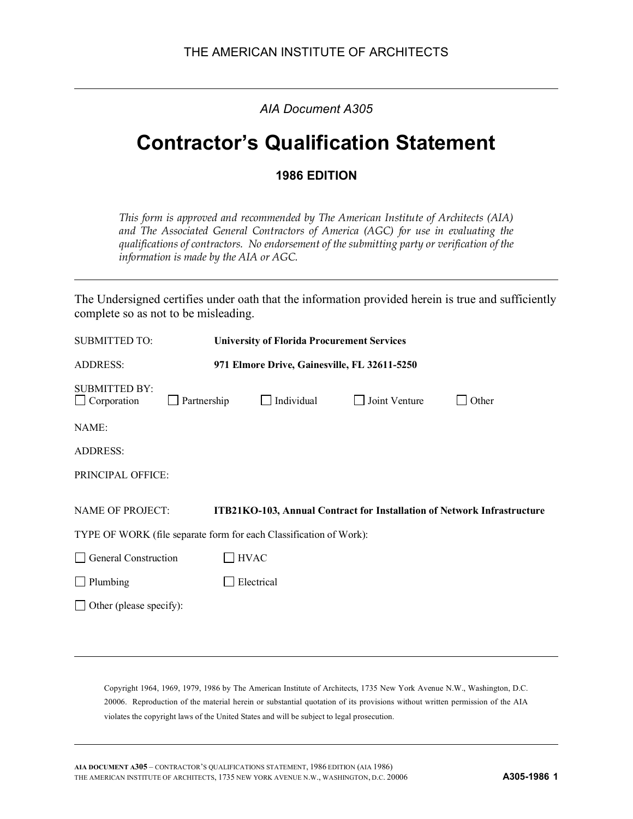*AIA Document A305*

# **Contractor's Qualification Statement**

# **1986 EDITION**

*This form is approved and recommended by The American Institute of Architects (AIA) and The Associated General Contractors of America (AGC) for use in evaluating the qualifications of contractors. No endorsement of the submitting party or verification of the information is made by the AIA or AGC.*

The Undersigned certifies under oath that the information provided herein is true and sufficiently complete so as not to be misleading.

| <b>SUBMITTED TO:</b>                                            | <b>University of Florida Procurement Services</b> |                                                                    |               |                                                                         |  |
|-----------------------------------------------------------------|---------------------------------------------------|--------------------------------------------------------------------|---------------|-------------------------------------------------------------------------|--|
| <b>ADDRESS:</b><br>971 Elmore Drive, Gainesville, FL 32611-5250 |                                                   |                                                                    |               |                                                                         |  |
| <b>SUBMITTED BY:</b><br>$\Box$ Corporation                      | Partnership                                       | Individual                                                         | Joint Venture | <b>Other</b>                                                            |  |
| NAME:                                                           |                                                   |                                                                    |               |                                                                         |  |
| <b>ADDRESS:</b>                                                 |                                                   |                                                                    |               |                                                                         |  |
| PRINCIPAL OFFICE:                                               |                                                   |                                                                    |               |                                                                         |  |
| <b>NAME OF PROJECT:</b>                                         |                                                   |                                                                    |               | ITB21KO-103, Annual Contract for Installation of Network Infrastructure |  |
|                                                                 |                                                   | TYPE OF WORK (file separate form for each Classification of Work): |               |                                                                         |  |
| General Construction                                            |                                                   | <b>HVAC</b>                                                        |               |                                                                         |  |
| $\Box$ Plumbing                                                 |                                                   | Electrical                                                         |               |                                                                         |  |
|                                                                 | Other (please specify):                           |                                                                    |               |                                                                         |  |
|                                                                 |                                                   |                                                                    |               |                                                                         |  |

Copyright 1964, 1969, 1979, 1986 by The American Institute of Architects, 1735 New York Avenue N.W., Washington, D.C. 20006. Reproduction of the material herein or substantial quotation of its provisions without written permission of the AIA violates the copyright laws of the United States and will be subject to legal prosecution.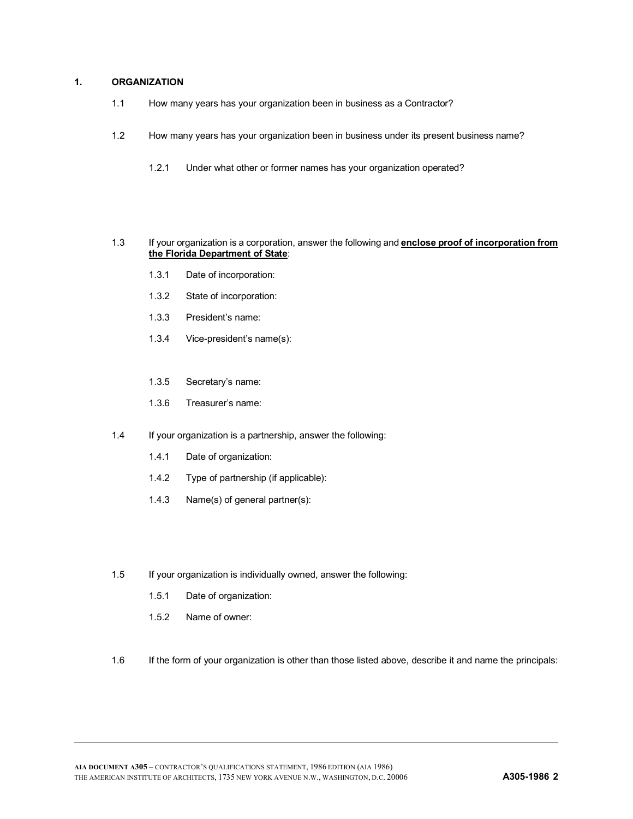# **1. ORGANIZATION**

- 1.1 How many years has your organization been in business as a Contractor?
- 1.2 How many years has your organization been in business under its present business name?
	- 1.2.1 Under what other or former names has your organization operated?

#### 1.3 If your organization is a corporation, answer the following and **enclose proof of incorporation from the Florida Department of State**:

- 1.3.1 Date of incorporation:
- 1.3.2 State of incorporation:
- 1.3.3 President's name:
- 1.3.4 Vice-president's name(s):
- 1.3.5 Secretary's name:
- 1.3.6 Treasurer's name:
- 1.4 If your organization is a partnership, answer the following:
	- 1.4.1 Date of organization:
	- 1.4.2 Type of partnership (if applicable):
	- 1.4.3 Name(s) of general partner(s):
- 1.5 If your organization is individually owned, answer the following:
	- 1.5.1 Date of organization:
	- 1.5.2 Name of owner:
- 1.6 If the form of your organization is other than those listed above, describe it and name the principals: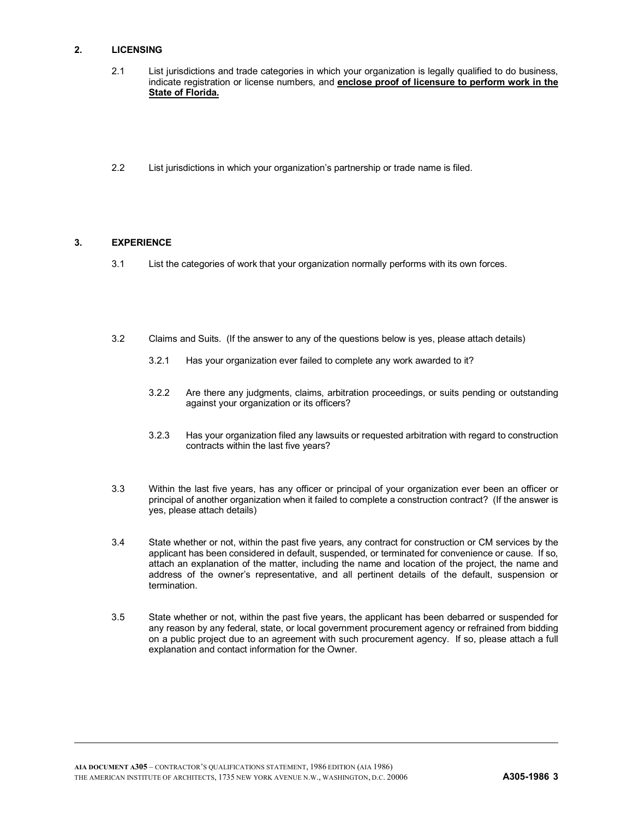## **2. LICENSING**

- 2.1 List jurisdictions and trade categories in which your organization is legally qualified to do business, indicate registration or license numbers, and **enclose proof of licensure to perform work in the State of Florida.**
- 2.2 List jurisdictions in which your organization's partnership or trade name is filed.

#### **3. EXPERIENCE**

- 3.1 List the categories of work that your organization normally performs with its own forces.
- 3.2 Claims and Suits. (If the answer to any of the questions below is yes, please attach details)
	- 3.2.1 Has your organization ever failed to complete any work awarded to it?
	- 3.2.2 Are there any judgments, claims, arbitration proceedings, or suits pending or outstanding against your organization or its officers?
	- 3.2.3 Has your organization filed any lawsuits or requested arbitration with regard to construction contracts within the last five years?
- 3.3 Within the last five years, has any officer or principal of your organization ever been an officer or principal of another organization when it failed to complete a construction contract? (If the answer is yes, please attach details)
- 3.4 State whether or not, within the past five years, any contract for construction or CM services by the applicant has been considered in default, suspended, or terminated for convenience or cause. If so, attach an explanation of the matter, including the name and location of the project, the name and address of the owner's representative, and all pertinent details of the default, suspension or termination.
- 3.5 State whether or not, within the past five years, the applicant has been debarred or suspended for any reason by any federal, state, or local government procurement agency or refrained from bidding on a public project due to an agreement with such procurement agency. If so, please attach a full explanation and contact information for the Owner.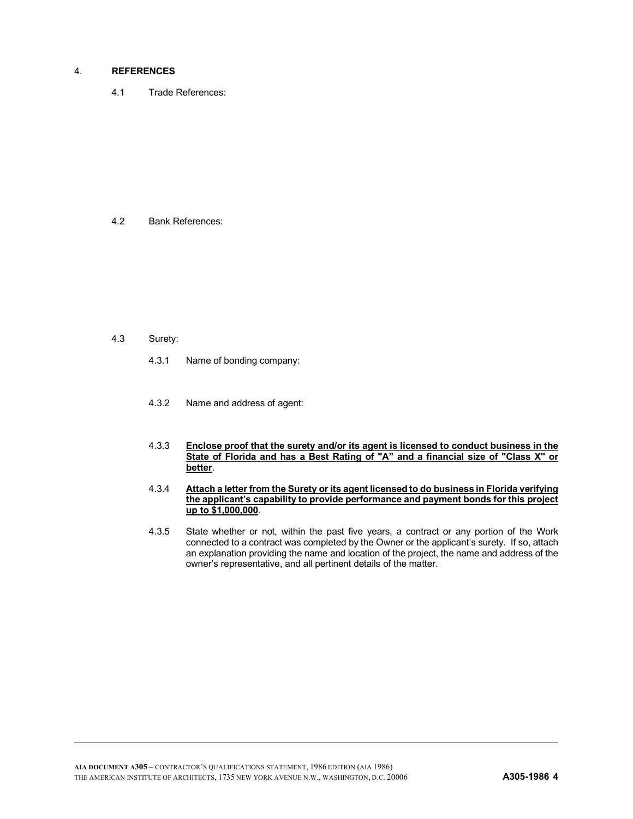#### 4. **REFERENCES**

4.1 Trade References:

4.2 Bank References:

- 4.3 Surety:
	- 4.3.1 Name of bonding company:
	- 4.3.2 Name and address of agent:
	- 4.3.3 **Enclose proof that the surety and/or its agent is licensed to conduct business in the State of Florida and has a Best Rating of "A" and a financial size of "Class X" or better**.
	- 4.3.4 **Attach a letter from the Surety or its agent licensed to do business in Florida verifying the applicant's capability to provide performance and payment bonds for this project up to \$1,000,000**.
	- 4.3.5 State whether or not, within the past five years, a contract or any portion of the Work connected to a contract was completed by the Owner or the applicant's surety. If so, attach an explanation providing the name and location of the project, the name and address of the owner's representative, and all pertinent details of the matter.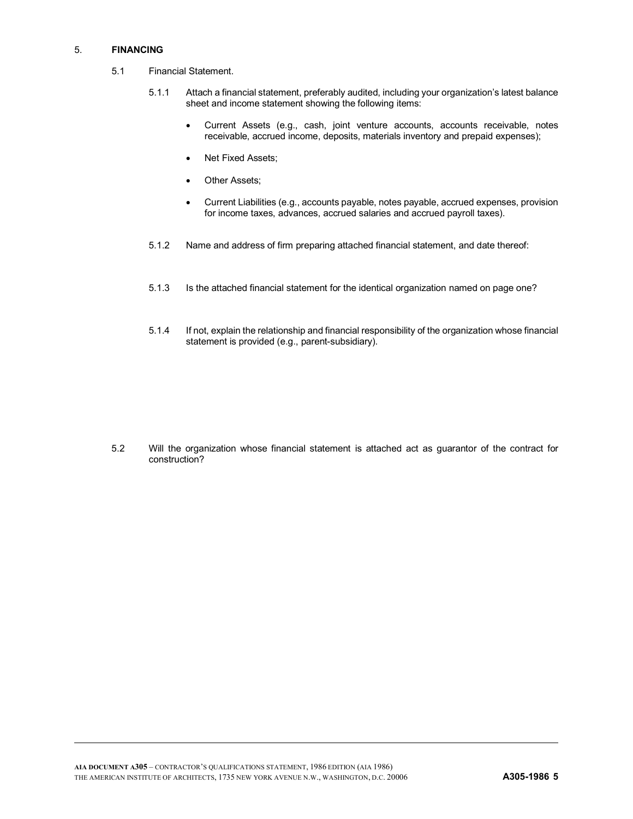#### 5. **FINANCING**

- 5.1 Financial Statement.
	- 5.1.1 Attach a financial statement, preferably audited, including your organization's latest balance sheet and income statement showing the following items:
		- Current Assets (e.g., cash, joint venture accounts, accounts receivable, notes receivable, accrued income, deposits, materials inventory and prepaid expenses);
		- Net Fixed Assets;
		- Other Assets;
		- Current Liabilities (e.g., accounts payable, notes payable, accrued expenses, provision for income taxes, advances, accrued salaries and accrued payroll taxes).
	- 5.1.2 Name and address of firm preparing attached financial statement, and date thereof:
	- 5.1.3 Is the attached financial statement for the identical organization named on page one?
	- 5.1.4 If not, explain the relationship and financial responsibility of the organization whose financial statement is provided (e.g., parent-subsidiary).

5.2 Will the organization whose financial statement is attached act as guarantor of the contract for construction?